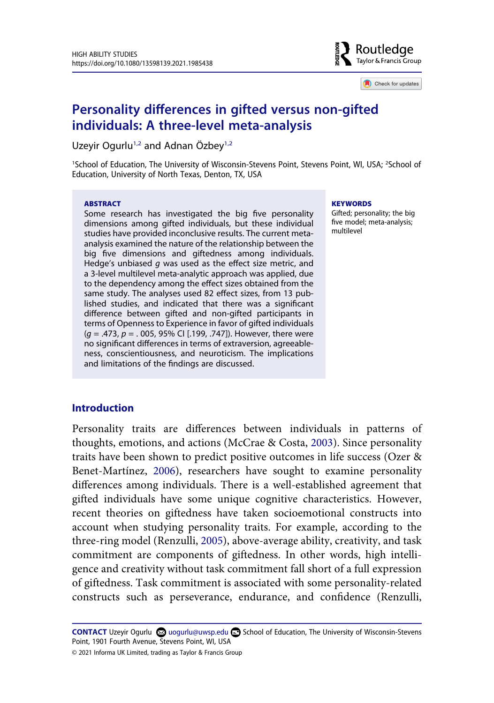

Check for updates

# **Personality differences in gifted versus non-gifted individuals: A three-level meta-analysis**

Uzeyir Ogurlu<sup>[1,2](#page-0-0)</sup> and Adnan Özbey<sup>1,2</sup>

<span id="page-0-0"></span><sup>1</sup>School of Education, The University of Wisconsin-Stevens Point, Stevens Point, WI, USA; <sup>2</sup>School of Education, University of North Texas, Denton, TX, USA

#### ABSTRACT

Some research has investigated the big five personality dimensions among gifted individuals, but these individual studies have provided inconclusive results. The current metaanalysis examined the nature of the relationship between the big five dimensions and giftedness among individuals. Hedge's unbiased  $g$  was used as the effect size metric, and a 3-level multilevel meta-analytic approach was applied, due to the dependency among the effect sizes obtained from the same study. The analyses used 82 effect sizes, from 13 published studies, and indicated that there was a significant difference between gifted and non-gifted participants in terms of Openness to Experience in favor of gifted individuals  $(q = .473, p = .005, 95\%$  CI [.199, .747]). However, there were no significant differences in terms of extraversion, agreeableness, conscientiousness, and neuroticism. The implications and limitations of the findings are discussed.

#### **KEYWORDS**

Gifted; personality; the big five model; meta-analysis; multilevel

### **Introduction**

<span id="page-0-2"></span><span id="page-0-1"></span>Personality traits are differences between individuals in patterns of thoughts, emotions, and actions (McCrae & Costa, [2003\)](#page-22-0). Since personality traits have been shown to predict positive outcomes in life success (Ozer & Benet-Martínez, [2006](#page-22-1)), researchers have sought to examine personality differences among individuals. There is a well-established agreement that gifted individuals have some unique cognitive characteristics. However, recent theories on giftedness have taken socioemotional constructs into account when studying personality traits. For example, according to the three-ring model (Renzulli, [2005\)](#page-23-0), above-average ability, creativity, and task commitment are components of giftedness. In other words, high intelligence and creativity without task commitment fall short of a full expression of giftedness. Task commitment is associated with some personality-related constructs such as perseverance, endurance, and confidence (Renzulli,

<span id="page-0-4"></span><span id="page-0-3"></span>CONTACT Uzeyir Ogurlu **S**uogurlu@uwsp.edu **B** School of Education, The University of Wisconsin-Stevens Point, 1901 Fourth Avenue, Stevens Point, WI, USA

© 2021 Informa UK Limited, trading as Taylor & Francis Group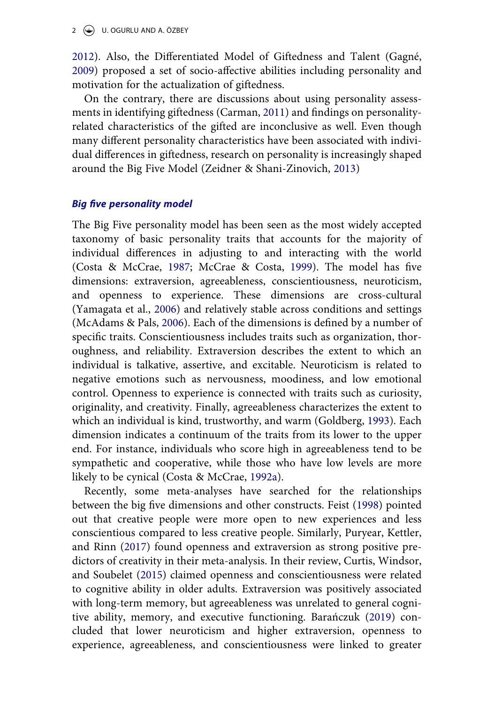<span id="page-1-6"></span>[2012](#page-23-1)). Also, the Differentiated Model of Giftedness and Talent (Gagné, [2009](#page-20-0)) proposed a set of socio-affective abilities including personality and motivation for the actualization of giftedness.

<span id="page-1-1"></span>On the contrary, there are discussions about using personality assessments in identifying giftedness (Carman, [2011\)](#page-20-1) and findings on personalityrelated characteristics of the gifted are inconclusive as well. Even though many different personality characteristics have been associated with individual differences in giftedness, research on personality is increasingly shaped around the Big Five Model (Zeidner & Shani-Zinovich, [2013\)](#page-24-0)

#### <span id="page-1-11"></span>**Big five personality model**

<span id="page-1-10"></span><span id="page-1-8"></span><span id="page-1-2"></span>The Big Five personality model has been seen as the most widely accepted taxonomy of basic personality traits that accounts for the majority of individual differences in adjusting to and interacting with the world (Costa & McCrae, [1987;](#page-20-2) McCrae & Costa, [1999](#page-22-2)). The model has five dimensions: extraversion, agreeableness, conscientiousness, neuroticism, and openness to experience. These dimensions are cross-cultural (Yamagata et al., [2006](#page-24-1)) and relatively stable across conditions and settings (McAdams & Pals, [2006\)](#page-22-3). Each of the dimensions is defined by a number of specific traits. Conscientiousness includes traits such as organization, thoroughness, and reliability. Extraversion describes the extent to which an individual is talkative, assertive, and excitable. Neuroticism is related to negative emotions such as nervousness, moodiness, and low emotional control. Openness to experience is connected with traits such as curiosity, originality, and creativity. Finally, agreeableness characterizes the extent to which an individual is kind, trustworthy, and warm (Goldberg, [1993](#page-21-0)). Each dimension indicates a continuum of the traits from its lower to the upper end. For instance, individuals who score high in agreeableness tend to be sympathetic and cooperative, while those who have low levels are more likely to be cynical (Costa & McCrae, [1992a\)](#page-20-3).

<span id="page-1-9"></span><span id="page-1-7"></span><span id="page-1-5"></span><span id="page-1-4"></span><span id="page-1-3"></span><span id="page-1-0"></span>Recently, some meta-analyses have searched for the relationships between the big five dimensions and other constructs. Feist [\(1998](#page-20-4)) pointed out that creative people were more open to new experiences and less conscientious compared to less creative people. Similarly, Puryear, Kettler, and Rinn [\(2017](#page-23-2)) found openness and extraversion as strong positive predictors of creativity in their meta-analysis. In their review, Curtis, Windsor, and Soubelet [\(2015](#page-20-5)) claimed openness and conscientiousness were related to cognitive ability in older adults. Extraversion was positively associated with long-term memory, but agreeableness was unrelated to general cognitive ability, memory, and executive functioning. Barańczuk ([2019\)](#page-19-0) concluded that lower neuroticism and higher extraversion, openness to experience, agreeableness, and conscientiousness were linked to greater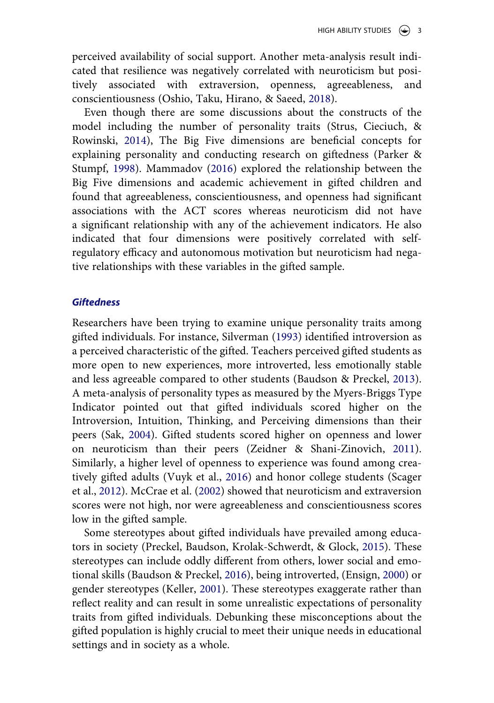perceived availability of social support. Another meta-analysis result indicated that resilience was negatively correlated with neuroticism but positively associated with extraversion, openness, agreeableness, and conscientiousness (Oshio, Taku, Hirano, & Saeed, [2018](#page-22-4)).

<span id="page-2-9"></span><span id="page-2-5"></span><span id="page-2-3"></span>Even though there are some discussions about the constructs of the model including the number of personality traits (Strus, Cieciuch, & Rowinski, [2014](#page-24-2)), The Big Five dimensions are beneficial concepts for explaining personality and conducting research on giftedness (Parker & Stumpf, [1998\)](#page-22-5). Mammadov ([2016\)](#page-21-1) explored the relationship between the Big Five dimensions and academic achievement in gifted children and found that agreeableness, conscientiousness, and openness had significant associations with the ACT scores whereas neuroticism did not have a significant relationship with any of the achievement indicators. He also indicated that four dimensions were positively correlated with selfregulatory efficacy and autonomous motivation but neuroticism had negative relationships with these variables in the gifted sample.

#### **Giftedness**

<span id="page-2-8"></span><span id="page-2-0"></span>Researchers have been trying to examine unique personality traits among gifted individuals. For instance, Silverman ([1993\)](#page-24-3) identified introversion as a perceived characteristic of the gifted. Teachers perceived gifted students as more open to new experiences, more introverted, less emotionally stable and less agreeable compared to other students (Baudson & Preckel, [2013\)](#page-19-1). A meta-analysis of personality types as measured by the Myers-Briggs Type Indicator pointed out that gifted individuals scored higher on the Introversion, Intuition, Thinking, and Perceiving dimensions than their peers (Sak, [2004\)](#page-23-3). Gifted students scored higher on openness and lower on neuroticism than their peers (Zeidner & Shani-Zinovich, [2011\)](#page-24-4). Similarly, a higher level of openness to experience was found among creatively gifted adults (Vuyk et al., [2016](#page-24-5)) and honor college students (Scager et al., [2012](#page-23-4)). McCrae et al. [\(2002](#page-22-6)) showed that neuroticism and extraversion scores were not high, nor were agreeableness and conscientiousness scores low in the gifted sample.

<span id="page-2-11"></span><span id="page-2-10"></span><span id="page-2-7"></span><span id="page-2-6"></span><span id="page-2-4"></span><span id="page-2-2"></span><span id="page-2-1"></span>Some stereotypes about gifted individuals have prevailed among educators in society (Preckel, Baudson, Krolak-Schwerdt, & Glock, [2015\)](#page-23-5). These stereotypes can include oddly different from others, lower social and emotional skills (Baudson & Preckel, [2016](#page-19-2)), being introverted, (Ensign, [2000](#page-20-6)) or gender stereotypes (Keller, [2001](#page-21-2)). These stereotypes exaggerate rather than reflect reality and can result in some unrealistic expectations of personality traits from gifted individuals. Debunking these misconceptions about the gifted population is highly crucial to meet their unique needs in educational settings and in society as a whole.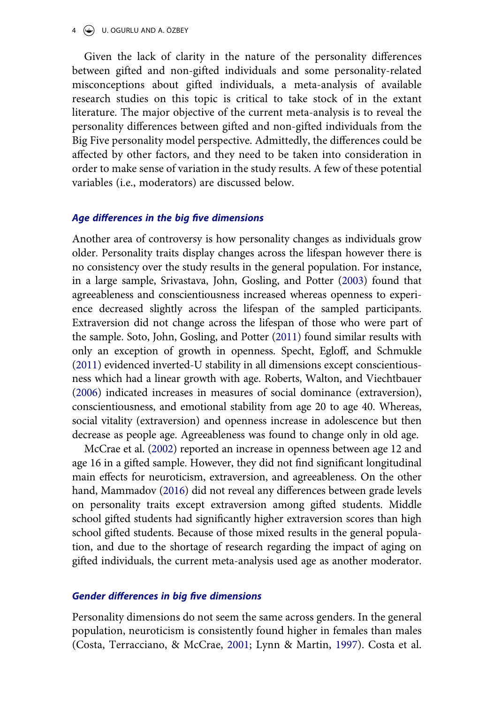4  $\bigodot$  U. OGURLU AND A. ÖZBEY

Given the lack of clarity in the nature of the personality differences between gifted and non-gifted individuals and some personality-related misconceptions about gifted individuals, a meta-analysis of available research studies on this topic is critical to take stock of in the extant literature. The major objective of the current meta-analysis is to reveal the personality differences between gifted and non-gifted individuals from the Big Five personality model perspective. Admittedly, the differences could be affected by other factors, and they need to be taken into consideration in order to make sense of variation in the study results. A few of these potential variables (i.e., moderators) are discussed below.

#### **Age differences in the big five dimensions**

<span id="page-3-4"></span><span id="page-3-2"></span>Another area of controversy is how personality changes as individuals grow older. Personality traits display changes across the lifespan however there is no consistency over the study results in the general population. For instance, in a large sample, Srivastava, John, Gosling, and Potter ([2003](#page-24-6)) found that agreeableness and conscientiousness increased whereas openness to experience decreased slightly across the lifespan of the sampled participants. Extraversion did not change across the lifespan of those who were part of the sample. Soto, John, Gosling, and Potter [\(2011](#page-24-7)) found similar results with only an exception of growth in openness. Specht, Egloff, and Schmukle ([2011\)](#page-24-8) evidenced inverted-U stability in all dimensions except conscientiousness which had a linear growth with age. Roberts, Walton, and Viechtbauer ([2006\)](#page-23-6) indicated increases in measures of social dominance (extraversion), conscientiousness, and emotional stability from age 20 to age 40. Whereas, social vitality (extraversion) and openness increase in adolescence but then decrease as people age. Agreeableness was found to change only in old age.

<span id="page-3-3"></span><span id="page-3-1"></span>McCrae et al. [\(2002\)](#page-22-6) reported an increase in openness between age 12 and age 16 in a gifted sample. However, they did not find significant longitudinal main effects for neuroticism, extraversion, and agreeableness. On the other hand, Mammadov [\(2016\)](#page-21-1) did not reveal any differences between grade levels on personality traits except extraversion among gifted students. Middle school gifted students had significantly higher extraversion scores than high school gifted students. Because of those mixed results in the general population, and due to the shortage of research regarding the impact of aging on gifted individuals, the current meta-analysis used age as another moderator.

#### **Gender differences in big five dimensions**

<span id="page-3-0"></span>Personality dimensions do not seem the same across genders. In the general population, neuroticism is consistently found higher in females than males (Costa, Terracciano, & McCrae, [2001](#page-20-7); Lynn & Martin, [1997](#page-21-3)). Costa et al.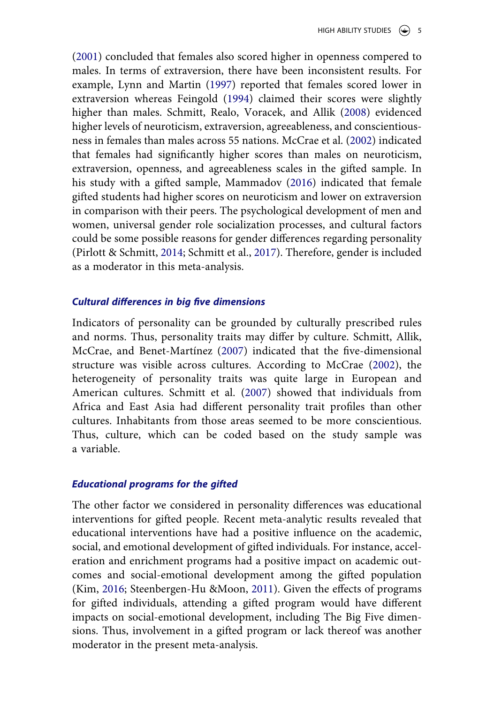<span id="page-4-5"></span><span id="page-4-0"></span>([2001](#page-20-7)) concluded that females also scored higher in openness compered to males. In terms of extraversion, there have been inconsistent results. For example, Lynn and Martin [\(1997\)](#page-21-3) reported that females scored lower in extraversion whereas Feingold ([1994\)](#page-20-8) claimed their scores were slightly higher than males. Schmitt, Realo, Voracek, and Allik ([2008\)](#page-23-7) evidenced higher levels of neuroticism, extraversion, agreeableness, and conscientiousness in females than males across 55 nations. McCrae et al. ([2002\)](#page-22-6) indicated that females had significantly higher scores than males on neuroticism, extraversion, openness, and agreeableness scales in the gifted sample. In his study with a gifted sample, Mammadov ([2016\)](#page-21-1) indicated that female gifted students had higher scores on neuroticism and lower on extraversion in comparison with their peers. The psychological development of men and women, universal gender role socialization processes, and cultural factors could be some possible reasons for gender differences regarding personality (Pirlott & Schmitt, [2014;](#page-23-8) Schmitt et al., [2017\)](#page-23-9). Therefore, gender is included as a moderator in this meta-analysis.

#### <span id="page-4-3"></span>**Cultural differences in big five dimensions**

<span id="page-4-4"></span><span id="page-4-2"></span>Indicators of personality can be grounded by culturally prescribed rules and norms. Thus, personality traits may differ by culture. Schmitt, Allik, McCrae, and Benet-Martínez [\(2007](#page-23-10)) indicated that the five-dimensional structure was visible across cultures. According to McCrae [\(2002\)](#page-22-7), the heterogeneity of personality traits was quite large in European and American cultures. Schmitt et al. ([2007\)](#page-23-10) showed that individuals from Africa and East Asia had different personality trait profiles than other cultures. Inhabitants from those areas seemed to be more conscientious. Thus, culture, which can be coded based on the study sample was a variable.

#### **Educational programs for the gifted**

<span id="page-4-1"></span>The other factor we considered in personality differences was educational interventions for gifted people. Recent meta-analytic results revealed that educational interventions have had a positive influence on the academic, social, and emotional development of gifted individuals. For instance, acceleration and enrichment programs had a positive impact on academic outcomes and social-emotional development among the gifted population (Kim, [2016](#page-21-4); Steenbergen-Hu &Moon, [2011](#page-24-9)). Given the effects of programs for gifted individuals, attending a gifted program would have different impacts on social-emotional development, including The Big Five dimensions. Thus, involvement in a gifted program or lack thereof was another moderator in the present meta-analysis.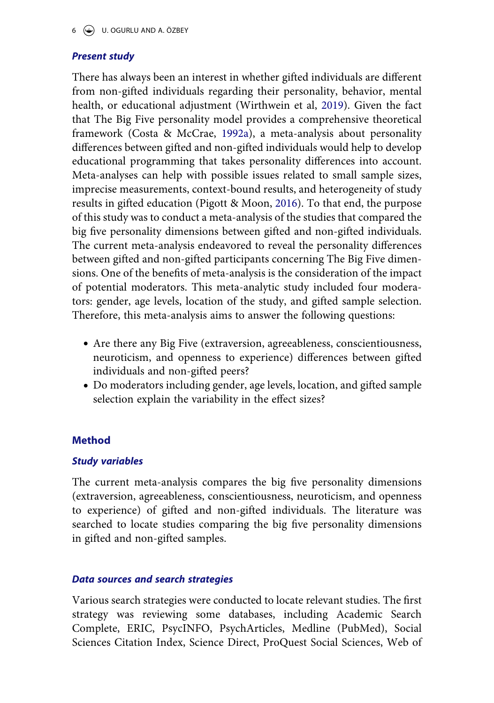## **Present study**

<span id="page-5-1"></span><span id="page-5-0"></span>There has always been an interest in whether gifted individuals are different from non-gifted individuals regarding their personality, behavior, mental health, or educational adjustment (Wirthwein et al, [2019](#page-24-10)). Given the fact that The Big Five personality model provides a comprehensive theoretical framework (Costa & McCrae, [1992a](#page-20-3)), a meta-analysis about personality differences between gifted and non-gifted individuals would help to develop educational programming that takes personality differences into account. Meta-analyses can help with possible issues related to small sample sizes, imprecise measurements, context-bound results, and heterogeneity of study results in gifted education (Pigott & Moon, [2016\)](#page-23-11). To that end, the purpose of this study was to conduct a meta-analysis of the studies that compared the big five personality dimensions between gifted and non-gifted individuals. The current meta-analysis endeavored to reveal the personality differences between gifted and non-gifted participants concerning The Big Five dimensions. One of the benefits of meta-analysis is the consideration of the impact of potential moderators. This meta-analytic study included four moderators: gender, age levels, location of the study, and gifted sample selection. Therefore, this meta-analysis aims to answer the following questions:

- Are there any Big Five (extraversion, agreeableness, conscientiousness, neuroticism, and openness to experience) differences between gifted individuals and non-gifted peers?
- Do moderators including gender, age levels, location, and gifted sample selection explain the variability in the effect sizes?

## **Method**

## **Study variables**

The current meta-analysis compares the big five personality dimensions (extraversion, agreeableness, conscientiousness, neuroticism, and openness to experience) of gifted and non-gifted individuals. The literature was searched to locate studies comparing the big five personality dimensions in gifted and non-gifted samples.

## **Data sources and search strategies**

Various search strategies were conducted to locate relevant studies. The first strategy was reviewing some databases, including Academic Search Complete, ERIC, PsycINFO, PsychArticles, Medline (PubMed), Social Sciences Citation Index, Science Direct, ProQuest Social Sciences, Web of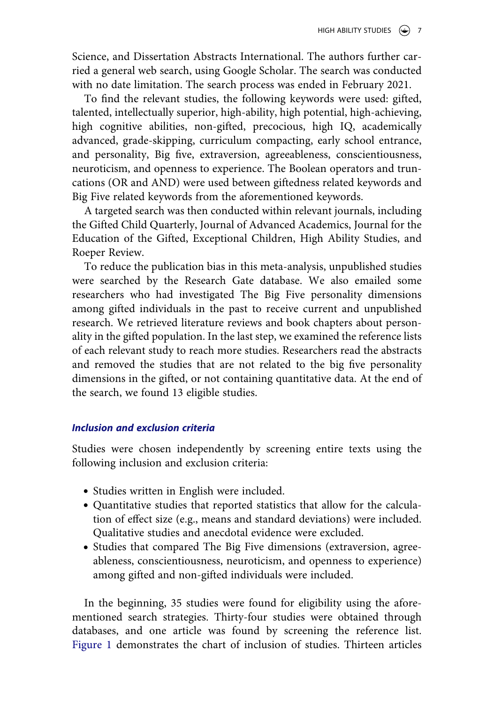Science, and Dissertation Abstracts International. The authors further carried a general web search, using Google Scholar. The search was conducted with no date limitation. The search process was ended in February 2021.

To find the relevant studies, the following keywords were used: gifted, talented, intellectually superior, high-ability, high potential, high-achieving, high cognitive abilities, non-gifted, precocious, high IQ, academically advanced, grade-skipping, curriculum compacting, early school entrance, and personality, Big five, extraversion, agreeableness, conscientiousness, neuroticism, and openness to experience. The Boolean operators and truncations (OR and AND) were used between giftedness related keywords and Big Five related keywords from the aforementioned keywords.

A targeted search was then conducted within relevant journals, including the Gifted Child Quarterly, Journal of Advanced Academics, Journal for the Education of the Gifted, Exceptional Children, High Ability Studies, and Roeper Review.

To reduce the publication bias in this meta-analysis, unpublished studies were searched by the Research Gate database. We also emailed some researchers who had investigated The Big Five personality dimensions among gifted individuals in the past to receive current and unpublished research. We retrieved literature reviews and book chapters about personality in the gifted population. In the last step, we examined the reference lists of each relevant study to reach more studies. Researchers read the abstracts and removed the studies that are not related to the big five personality dimensions in the gifted, or not containing quantitative data. At the end of the search, we found 13 eligible studies.

### **Inclusion and exclusion criteria**

Studies were chosen independently by screening entire texts using the following inclusion and exclusion criteria:

- Studies written in English were included.
- Quantitative studies that reported statistics that allow for the calculation of effect size (e.g., means and standard deviations) were included. Qualitative studies and anecdotal evidence were excluded.
- Studies that compared The Big Five dimensions (extraversion, agreeableness, conscientiousness, neuroticism, and openness to experience) among gifted and non-gifted individuals were included.

In the beginning, 35 studies were found for eligibility using the aforementioned search strategies. Thirty-four studies were obtained through databases, and one article was found by screening the reference list. [Figure 1](#page-7-0) demonstrates the chart of inclusion of studies. Thirteen articles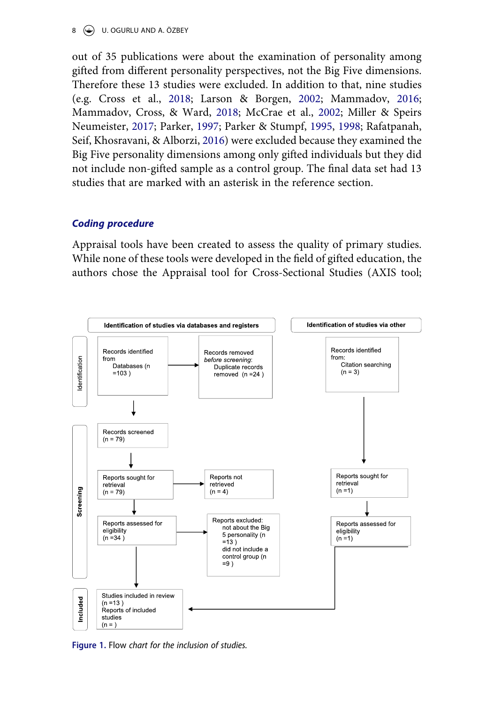#### 8 U. OGURLU AND A. ÖZBEY

<span id="page-7-4"></span><span id="page-7-3"></span><span id="page-7-2"></span><span id="page-7-1"></span>out of 35 publications were about the examination of personality among gifted from different personality perspectives, not the Big Five dimensions. Therefore these 13 studies were excluded. In addition to that, nine studies (e.g. Cross et al., [2018](#page-20-9); Larson & Borgen, [2002](#page-21-5); Mammadov, [2016;](#page-21-1) Mammadov, Cross, & Ward, [2018](#page-22-8); McCrae et al., [2002](#page-22-6); Miller & Speirs Neumeister, [2017;](#page-22-9) Parker, [1997](#page-22-10); Parker & Stumpf, [1995,](#page-22-11) [1998;](#page-22-5) Rafatpanah, Seif, Khosravani, & Alborzi, [2016](#page-23-12)) were excluded because they examined the Big Five personality dimensions among only gifted individuals but they did not include non-gifted sample as a control group. The final data set had 13 studies that are marked with an asterisk in the reference section.

### **Coding procedure**

Appraisal tools have been created to assess the quality of primary studies. While none of these tools were developed in the field of gifted education, the authors chose the Appraisal tool for Cross-Sectional Studies (AXIS tool;

<span id="page-7-0"></span>

**Figure 1.** Flow chart for the inclusion of studies.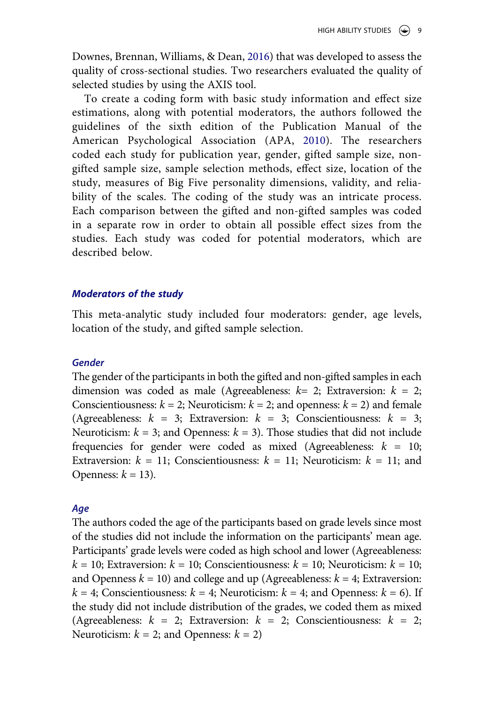<span id="page-8-1"></span>Downes, Brennan, Williams, & Dean, [2016](#page-20-10)) that was developed to assess the quality of cross-sectional studies. Two researchers evaluated the quality of selected studies by using the AXIS tool.

<span id="page-8-0"></span>To create a coding form with basic study information and effect size estimations, along with potential moderators, the authors followed the guidelines of the sixth edition of the Publication Manual of the American Psychological Association (APA, [2010](#page-19-3)). The researchers coded each study for publication year, gender, gifted sample size, nongifted sample size, sample selection methods, effect size, location of the study, measures of Big Five personality dimensions, validity, and reliability of the scales. The coding of the study was an intricate process. Each comparison between the gifted and non-gifted samples was coded in a separate row in order to obtain all possible effect sizes from the studies. Each study was coded for potential moderators, which are described below.

#### **Moderators of the study**

This meta-analytic study included four moderators: gender, age levels, location of the study, and gifted sample selection.

#### **Gender**

The gender of the participants in both the gifted and non-gifted samples in each dimension was coded as male (Agreeableness:  $k=2$ ; Extraversion:  $k=2$ ; Conscientiousness:  $k = 2$ ; Neuroticism:  $k = 2$ ; and openness:  $k = 2$ ) and female (Agreeableness:  $k = 3$ ; Extraversion:  $k = 3$ ; Conscientiousness:  $k = 3$ ; Neuroticism:  $k = 3$ ; and Openness:  $k = 3$ ). Those studies that did not include frequencies for gender were coded as mixed (Agreeableness:  $k = 10$ ; Extraversion:  $k = 11$ ; Conscientiousness:  $k = 11$ ; Neuroticism:  $k = 11$ ; and Openness:  $k = 13$ ).

#### **Age**

The authors coded the age of the participants based on grade levels since most of the studies did not include the information on the participants' mean age. Participants' grade levels were coded as high school and lower (Agreeableness:  $k = 10$ ; Extraversion:  $k = 10$ ; Conscientiousness:  $k = 10$ ; Neuroticism:  $k = 10$ ; and Openness  $k = 10$ ) and college and up (Agreeableness:  $k = 4$ ; Extraversion:  $k = 4$ ; Conscientiousness:  $k = 4$ ; Neuroticism:  $k = 4$ ; and Openness:  $k = 6$ ). If the study did not include distribution of the grades, we coded them as mixed (Agreeableness:  $k = 2$ ; Extraversion:  $k = 2$ ; Conscientiousness:  $k = 2$ ; Neuroticism:  $k = 2$ ; and Openness:  $k = 2$ )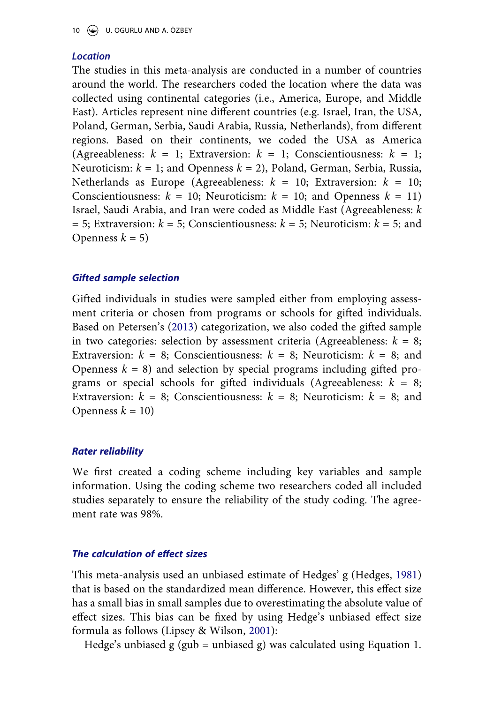### **Location**

The studies in this meta-analysis are conducted in a number of countries around the world. The researchers coded the location where the data was collected using continental categories (i.e., America, Europe, and Middle East). Articles represent nine different countries (e.g. Israel, Iran, the USA, Poland, German, Serbia, Saudi Arabia, Russia, Netherlands), from different regions. Based on their continents, we coded the USA as America (Agreeableness:  $k = 1$ ; Extraversion:  $k = 1$ ; Conscientiousness:  $k = 1$ ; Neuroticism:  $k = 1$ ; and Openness  $k = 2$ ), Poland, German, Serbia, Russia, Netherlands as Europe (Agreeableness:  $k = 10$ ; Extraversion:  $k = 10$ ; Conscientiousness:  $k = 10$ ; Neuroticism:  $k = 10$ ; and Openness  $k = 11$ ) Israel, Saudi Arabia, and Iran were coded as Middle East (Agreeableness: k  $= 5$ ; Extraversion:  $k = 5$ ; Conscientiousness:  $k = 5$ ; Neuroticism:  $k = 5$ ; and Openness  $k = 5$ )

### **Gifted sample selection**

<span id="page-9-2"></span>Gifted individuals in studies were sampled either from employing assessment criteria or chosen from programs or schools for gifted individuals. Based on Petersen's [\(2013\)](#page-22-12) categorization, we also coded the gifted sample in two categories: selection by assessment criteria (Agreeableness:  $k = 8$ ; Extraversion:  $k = 8$ ; Conscientiousness:  $k = 8$ ; Neuroticism:  $k = 8$ ; and Openness  $k = 8$ ) and selection by special programs including gifted programs or special schools for gifted individuals (Agreeableness:  $k = 8$ ; Extraversion:  $k = 8$ ; Conscientiousness:  $k = 8$ ; Neuroticism:  $k = 8$ ; and Openness  $k = 10$ 

#### **Rater reliability**

We first created a coding scheme including key variables and sample information. Using the coding scheme two researchers coded all included studies separately to ensure the reliability of the study coding. The agreement rate was 98%.

#### **The calculation of effect sizes**

<span id="page-9-0"></span>This meta-analysis used an unbiased estimate of Hedges' g (Hedges, [1981](#page-21-6)) that is based on the standardized mean difference. However, this effect size has a small bias in small samples due to overestimating the absolute value of effect sizes. This bias can be fixed by using Hedge's unbiased effect size formula as follows (Lipsey & Wilson, [2001\)](#page-21-7):

<span id="page-9-1"></span>Hedge's unbiased  $g$  (gub = unbiased g) was calculated using Equation 1.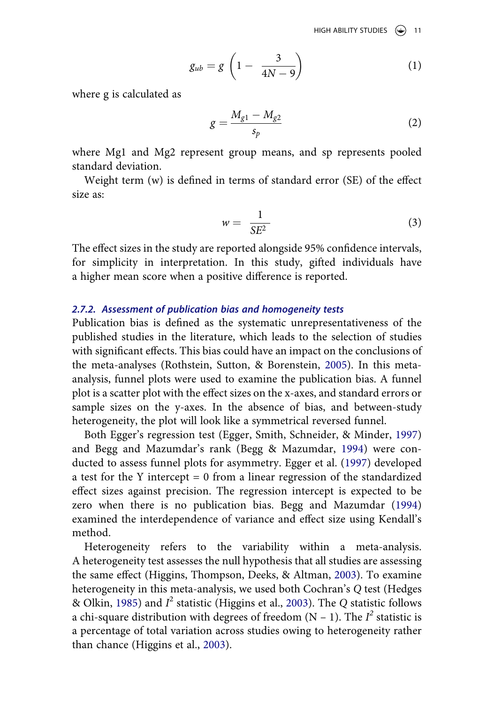HIGH ABILITY STUDIES  $\circledast$  11

$$
g_{ub} = g \left( 1 - \frac{3}{4N - 9} \right) \tag{1}
$$

where g is calculated as

$$
g = \frac{M_{g1} - M_{g2}}{s_p} \tag{2}
$$

where Mg1 and Mg2 represent group means, and sp represents pooled standard deviation.

Weight term (w) is defined in terms of standard error (SE) of the effect size as:

$$
w = \frac{1}{SE^2} \tag{3}
$$

The effect sizes in the study are reported alongside 95% confidence intervals, for simplicity in interpretation. In this study, gifted individuals have a higher mean score when a positive difference is reported.

#### **2.7.2. Assessment of publication bias and homogeneity tests**

<span id="page-10-4"></span>Publication bias is defined as the systematic unrepresentativeness of the published studies in the literature, which leads to the selection of studies with significant effects. This bias could have an impact on the conclusions of the meta-analyses (Rothstein, Sutton, & Borenstein, [2005\)](#page-23-13). In this metaanalysis, funnel plots were used to examine the publication bias. A funnel plot is a scatter plot with the effect sizes on the x-axes, and standard errors or sample sizes on the y-axes. In the absence of bias, and between-study heterogeneity, the plot will look like a symmetrical reversed funnel.

<span id="page-10-1"></span>Both Egger's regression test (Egger, Smith, Schneider, & Minder, [1997](#page-20-11)) and Begg and Mazumdar's rank (Begg & Mazumdar, [1994](#page-19-4)) were conducted to assess funnel plots for asymmetry. Egger et al. [\(1997\)](#page-20-11) developed a test for the Y intercept = 0 from a linear regression of the standardized effect sizes against precision. The regression intercept is expected to be zero when there is no publication bias. Begg and Mazumdar ([1994](#page-19-4)) examined the interdependence of variance and effect size using Kendall's method.

<span id="page-10-3"></span><span id="page-10-2"></span><span id="page-10-0"></span>Heterogeneity refers to the variability within a meta-analysis. A heterogeneity test assesses the null hypothesis that all studies are assessing the same effect (Higgins, Thompson, Deeks, & Altman, [2003](#page-21-8)). To examine heterogeneity in this meta-analysis, we used both Cochran's Q test (Hedges & Olkin, [1985\)](#page-21-9) and  $I^2$  statistic (Higgins et al., [2003\)](#page-21-8). The Q statistic follows a chi-square distribution with degrees of freedom  $(N - 1)$ . The  $I^2$  statistic is a percentage of total variation across studies owing to heterogeneity rather than chance (Higgins et al., [2003](#page-21-8)).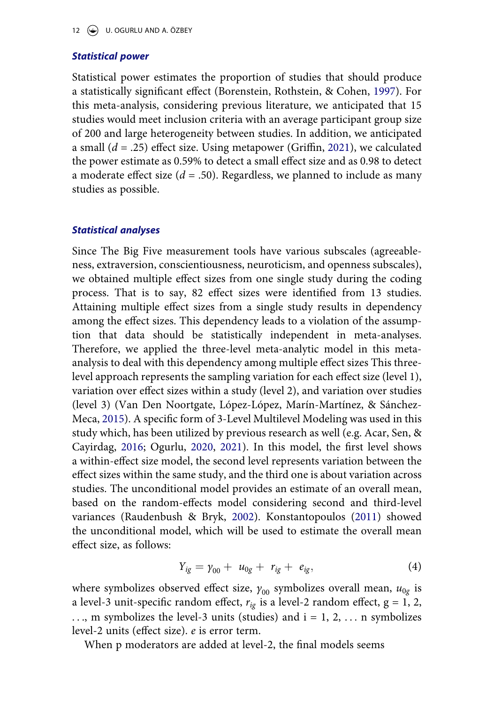### **Statistical power**

<span id="page-11-2"></span><span id="page-11-1"></span>Statistical power estimates the proportion of studies that should produce a statistically significant effect (Borenstein, Rothstein, & Cohen, [1997](#page-19-5)). For this meta-analysis, considering previous literature, we anticipated that 15 studies would meet inclusion criteria with an average participant group size of 200 and large heterogeneity between studies. In addition, we anticipated a small  $(d = .25)$  effect size. Using metapower (Griffin, [2021\)](#page-21-10), we calculated the power estimate as 0.59% to detect a small effect size and as 0.98 to detect a moderate effect size ( $d = .50$ ). Regardless, we planned to include as many studies as possible.

#### **Statistical analyses**

<span id="page-11-4"></span>Since The Big Five measurement tools have various subscales (agreeableness, extraversion, conscientiousness, neuroticism, and openness subscales), we obtained multiple effect sizes from one single study during the coding process. That is to say, 82 effect sizes were identified from 13 studies. Attaining multiple effect sizes from a single study results in dependency among the effect sizes. This dependency leads to a violation of the assumption that data should be statistically independent in meta-analyses. Therefore, we applied the three-level meta-analytic model in this metaanalysis to deal with this dependency among multiple effect sizes This threelevel approach represents the sampling variation for each effect size (level 1), variation over effect sizes within a study (level 2), and variation over studies (level 3) (Van Den Noortgate, López-López, Marín-Martínez, & Sánchez-Meca, [2015](#page-24-11)). A specific form of 3-Level Multilevel Modeling was used in this study which, has been utilized by previous research as well (e.g. Acar, Sen, & Cayirdag, [2016](#page-19-6); Ogurlu, [2020,](#page-22-13) [2021](#page-22-14)). In this model, the first level shows a within-effect size model, the second level represents variation between the effect sizes within the same study, and the third one is about variation across studies. The unconditional model provides an estimate of an overall mean, based on the random-effects model considering second and third-level variances (Raudenbush & Bryk, [2002\)](#page-23-14). Konstantopoulos ([2011\)](#page-21-11) showed the unconditional model, which will be used to estimate the overall mean effect size, as follows:

$$
Y_{ig} = \gamma_{00} + u_{0g} + r_{ig} + e_{ig}, \qquad (4)
$$

<span id="page-11-3"></span><span id="page-11-0"></span>where symbolizes observed effect size,  $\gamma_{00}$  symbolizes overall mean,  $u_{0g}$  is a level-3 unit-specific random effect,  $r_{ig}$  is a level-2 random effect,  $g = 1, 2$ , ..., m symbolizes the level-3 units (studies) and  $i = 1, 2, \ldots$  n symbolizes level-2 units (effect size). e is error term.

When p moderators are added at level-2, the final models seems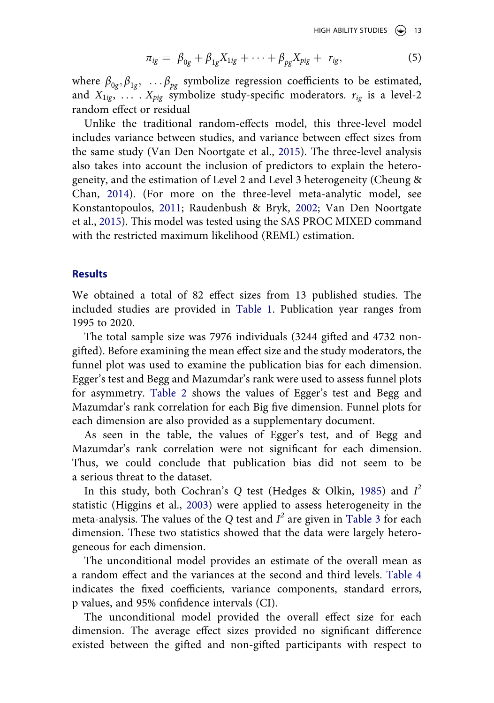HIGH ABILITY STUDIES  $\left(\bigodot\right)$  13

$$
\pi_{ig} = \beta_{0g} + \beta_{1g} X_{1ig} + \dots + \beta_{pg} X_{pig} + r_{ig}, \tag{5}
$$

where  $\beta_{0g}, \beta_{1g}, \ldots, \beta_{pg}$  symbolize regression coefficients to be estimated, and  $X_{1ig}$ ,  $X_{pig}$  symbolize study-specific moderators.  $r_{ig}$  is a level-2 random effect or residual

<span id="page-12-0"></span>Unlike the traditional random-effects model, this three-level model includes variance between studies, and variance between effect sizes from the same study (Van Den Noortgate et al., [2015](#page-24-11)). The three-level analysis also takes into account the inclusion of predictors to explain the heterogeneity, and the estimation of Level 2 and Level 3 heterogeneity (Cheung & Chan, [2014\)](#page-20-12). (For more on the three-level meta-analytic model, see Konstantopoulos, [2011](#page-21-11); Raudenbush & Bryk, [2002](#page-23-14); Van Den Noortgate et al., [2015](#page-24-11)). This model was tested using the SAS PROC MIXED command with the restricted maximum likelihood (REML) estimation.

#### **Results**

We obtained a total of 82 effect sizes from 13 published studies. The included studies are provided in [Table 1](#page-13-0). Publication year ranges from 1995 to 2020.

The total sample size was 7976 individuals (3244 gifted and 4732 nongifted). Before examining the mean effect size and the study moderators, the funnel plot was used to examine the publication bias for each dimension. Egger's test and Begg and Mazumdar's rank were used to assess funnel plots for asymmetry. [Table 2](#page-16-0) shows the values of Egger's test and Begg and Mazumdar's rank correlation for each Big five dimension. Funnel plots for each dimension are also provided as a supplementary document.

As seen in the table, the values of Egger's test, and of Begg and Mazumdar's rank correlation were not significant for each dimension. Thus, we could conclude that publication bias did not seem to be a serious threat to the dataset.

In this study, both Cochran's Q test (Hedges & Olkin, [1985](#page-21-9)) and  $I^2$ statistic (Higgins et al., [2003](#page-21-8)) were applied to assess heterogeneity in the meta-analysis. The values of the Q test and  $I^2$  are given in [Table 3](#page-16-1) for each dimension. These two statistics showed that the data were largely heterogeneous for each dimension.

The unconditional model provides an estimate of the overall mean as a random effect and the variances at the second and third levels. [Table 4](#page-17-0) indicates the fixed coefficients, variance components, standard errors, p values, and 95% confidence intervals (CI).

The unconditional model provided the overall effect size for each dimension. The average effect sizes provided no significant difference existed between the gifted and non-gifted participants with respect to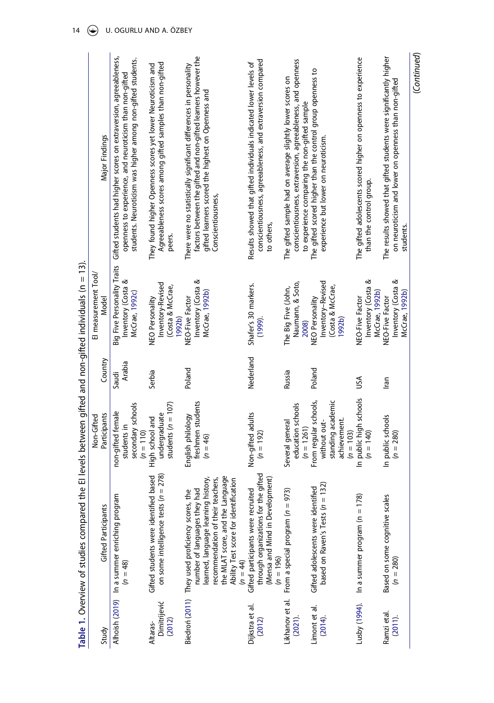<span id="page-13-12"></span><span id="page-13-11"></span><span id="page-13-10"></span><span id="page-13-9"></span><span id="page-13-8"></span><span id="page-13-7"></span><span id="page-13-6"></span><span id="page-13-5"></span><span id="page-13-4"></span><span id="page-13-3"></span><span id="page-13-2"></span><span id="page-13-1"></span><span id="page-13-0"></span>

| to others,<br>peers.<br><b>Big Five Personality Traits</b><br>Inventory (Costa &<br>Inventory (Costa &<br>ళ<br>ళ<br>Inventory-Revised<br>Naumann, & Soto,<br>Inventory-Revised<br>Shafer's 30 markers.<br>(Costa & McCrae,<br>The Big Five (John,<br>(Costa & McCrae,<br>Inventory (Costa<br>Inventory (Costa<br>McCrae, 1992b)<br>McCrae, 1992b)<br>McCrae, 1992c)<br>Model<br>NEO-Five Factor<br>NEO Personality<br>NEO-Five Factor<br>NEO Personality<br>NEO-Five Factor<br>1992b)<br>(1999).<br>1992b)<br>2008)<br>Nederland<br>Country<br>Arabia<br>Poland<br>Poland<br>Serbia<br>Russia<br>Saudi<br>ŠΩ<br>lran<br>In public high schools<br>From regular schools,<br>standing academic<br>students ( $n = 107$ )<br>freshmen students<br>secondary schools<br>education schools<br>non-gifted female<br>Non-gifted adults<br>undergraduate<br>Participants<br>In public schools<br>English philology<br>High school and<br>achievement.<br>Several general<br>without out-<br>students in<br>$(n = 1261)$<br>$(n = 110)$<br>$(n = 103)$<br>$(n = 192)$<br>$(n = 280)$<br>$(n = 140)$<br>$(n = 46)$<br>through organizations for the gifted<br>on some intelligence tests ( $n = 278$ )<br>Gifted students were identified based<br>the MLAT score, and the Language<br>learned, language learning history,<br>(Mensa and Mind in Development)<br>recommendation of their teachers,<br>Ability Test score for identification<br>based on Raven's Tests $(n = 132)$<br>Gifted adolescents were identified<br>Biedron (2011) They used proficiency scores, the<br>number of languages they hac<br>Gifted participants were recruited<br>From a special program ( $n = 973$ )<br>Alhoish (2019) In a summer enriching program<br>In a summer program ( $n = 178$ )<br>Based on some cognitive scales<br><b>Gifted Participants</b><br>$(n = 196)$<br>$(n = 280)$<br>$(n = 44)$<br>$(n = 48)$<br>Likhanov et al.<br>Lusby (1994).<br>Dimitrijević<br>Dijkstra et al.<br>Limont et al.<br>Ramzi etal.<br>(2011).<br>(2014).<br>$(2021)$ .<br>(2012)<br>(2012)<br>Altaras-<br>Study | El measurement Tool/                                                                                       |                                                                                                                                                                                             |
|------------------------------------------------------------------------------------------------------------------------------------------------------------------------------------------------------------------------------------------------------------------------------------------------------------------------------------------------------------------------------------------------------------------------------------------------------------------------------------------------------------------------------------------------------------------------------------------------------------------------------------------------------------------------------------------------------------------------------------------------------------------------------------------------------------------------------------------------------------------------------------------------------------------------------------------------------------------------------------------------------------------------------------------------------------------------------------------------------------------------------------------------------------------------------------------------------------------------------------------------------------------------------------------------------------------------------------------------------------------------------------------------------------------------------------------------------------------------------------------------------------------------------------------------------------------------------------------------------------------------------------------------------------------------------------------------------------------------------------------------------------------------------------------------------------------------------------------------------------------------------------------------------------------------------------------------------------------------------------------------------------------------------------------------------------------------------------|------------------------------------------------------------------------------------------------------------|---------------------------------------------------------------------------------------------------------------------------------------------------------------------------------------------|
|                                                                                                                                                                                                                                                                                                                                                                                                                                                                                                                                                                                                                                                                                                                                                                                                                                                                                                                                                                                                                                                                                                                                                                                                                                                                                                                                                                                                                                                                                                                                                                                                                                                                                                                                                                                                                                                                                                                                                                                                                                                                                    |                                                                                                            | Major Findings                                                                                                                                                                              |
|                                                                                                                                                                                                                                                                                                                                                                                                                                                                                                                                                                                                                                                                                                                                                                                                                                                                                                                                                                                                                                                                                                                                                                                                                                                                                                                                                                                                                                                                                                                                                                                                                                                                                                                                                                                                                                                                                                                                                                                                                                                                                    |                                                                                                            | Gifted students had higher scores on extraversion, agreeableness,<br>students. Neuroticism was higher among non-gifted students.<br>openness to experience, and neuroticism than non-gifted |
|                                                                                                                                                                                                                                                                                                                                                                                                                                                                                                                                                                                                                                                                                                                                                                                                                                                                                                                                                                                                                                                                                                                                                                                                                                                                                                                                                                                                                                                                                                                                                                                                                                                                                                                                                                                                                                                                                                                                                                                                                                                                                    |                                                                                                            | Agreeableness scores among gifted samples than non-gifted<br>They found higher Openness scores yet lower Neuroticism and                                                                    |
|                                                                                                                                                                                                                                                                                                                                                                                                                                                                                                                                                                                                                                                                                                                                                                                                                                                                                                                                                                                                                                                                                                                                                                                                                                                                                                                                                                                                                                                                                                                                                                                                                                                                                                                                                                                                                                                                                                                                                                                                                                                                                    | gifted learners scored the highest on Openness and<br>Conscientiousness,                                   | factors between the gifted and non-gifted learners however the<br>There were no statistically significant differences in personality                                                        |
|                                                                                                                                                                                                                                                                                                                                                                                                                                                                                                                                                                                                                                                                                                                                                                                                                                                                                                                                                                                                                                                                                                                                                                                                                                                                                                                                                                                                                                                                                                                                                                                                                                                                                                                                                                                                                                                                                                                                                                                                                                                                                    |                                                                                                            | conscientiousness, agreeableness, and extraversion compared<br>Results showed that gifted individuals indicated lower levels of                                                             |
|                                                                                                                                                                                                                                                                                                                                                                                                                                                                                                                                                                                                                                                                                                                                                                                                                                                                                                                                                                                                                                                                                                                                                                                                                                                                                                                                                                                                                                                                                                                                                                                                                                                                                                                                                                                                                                                                                                                                                                                                                                                                                    | The gifted sample had on average slightly lower scores on<br>to experience comparing the non-gifted sample | conscientiousness, extraversion, agreeableness, and openness                                                                                                                                |
|                                                                                                                                                                                                                                                                                                                                                                                                                                                                                                                                                                                                                                                                                                                                                                                                                                                                                                                                                                                                                                                                                                                                                                                                                                                                                                                                                                                                                                                                                                                                                                                                                                                                                                                                                                                                                                                                                                                                                                                                                                                                                    | experience but lower on neuroticism                                                                        | The gifted scored higher than the control group openness to                                                                                                                                 |
|                                                                                                                                                                                                                                                                                                                                                                                                                                                                                                                                                                                                                                                                                                                                                                                                                                                                                                                                                                                                                                                                                                                                                                                                                                                                                                                                                                                                                                                                                                                                                                                                                                                                                                                                                                                                                                                                                                                                                                                                                                                                                    | than the control group.                                                                                    | The gifted adolescents scored higher on openness to experience                                                                                                                              |
|                                                                                                                                                                                                                                                                                                                                                                                                                                                                                                                                                                                                                                                                                                                                                                                                                                                                                                                                                                                                                                                                                                                                                                                                                                                                                                                                                                                                                                                                                                                                                                                                                                                                                                                                                                                                                                                                                                                                                                                                                                                                                    | students.<br>McCrae, 1992b)                                                                                | The results showed that gifted students were significantly higher<br>on neuroticism and lower on openness than non-gifted                                                                   |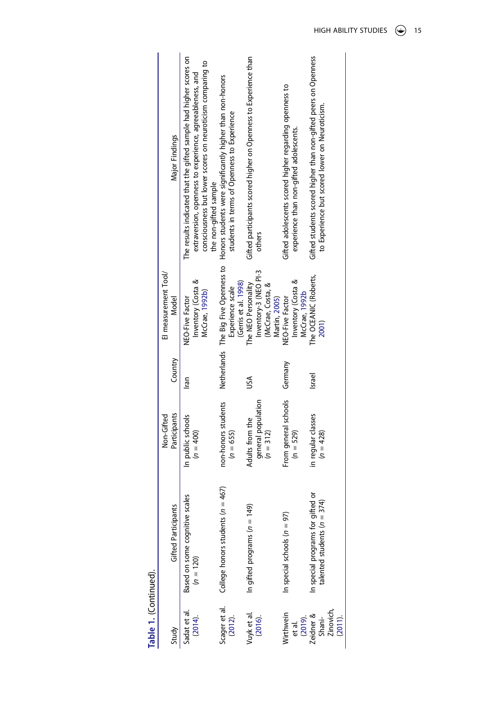<span id="page-14-2"></span><span id="page-14-1"></span><span id="page-14-0"></span>

|                                             |                                                                    | Non-Gifted                                           | Country | El measurement Tool/<br>Model                                                      |                                                                                                                                                                                             |
|---------------------------------------------|--------------------------------------------------------------------|------------------------------------------------------|---------|------------------------------------------------------------------------------------|---------------------------------------------------------------------------------------------------------------------------------------------------------------------------------------------|
| Study                                       | <b>Gifted Participants</b>                                         | Participants                                         |         |                                                                                    | Major Findings                                                                                                                                                                              |
| Sadat et al<br>(2014).                      | Based on some cognitive scales<br>$(n = 120)$                      | In public schools<br>$(n = 400)$                     | Iran    | Inventory (Costa &<br>McCrae, 1992b)<br>NEO-Five Factor                            | The results indicated that the gifted sample had higher scores on<br>consciousness but lower scores on neuroticism comparing to<br>extraversion, openness to experience, agreeableness, and |
|                                             |                                                                    |                                                      |         |                                                                                    | the non-gifted sample                                                                                                                                                                       |
| Scager et al.<br>(2012).                    | College honors students ( $n = 467$ )                              | non-honors students<br>$(n = 655)$                   |         | Netherlands The Big Five Openness to<br>(Gerris et al. 1998)<br>Experience scale   | Honors students were significantly higher than non-honors<br>students in terms of Openness to Experience                                                                                    |
| Vuyk et al.<br>(2016).                      | In gifted programs ( $n = 149$ )                                   | general population<br>Adults from the<br>$(n = 312)$ | ŠΩ      | Inventory-3 (NEO PI-3<br>The NEO Personality<br>(McCrae, Costa, &<br>Martin, 2005) | Gifted participants scored higher on Openness to Experience than<br>others                                                                                                                  |
| Wirthwein<br>et al.<br>(2019).<br>Zeidner & | In special schools $(n = 97)$                                      | From general schools<br>$(n = 529)$                  | Germany | Inventory (Costa &<br>McCrae, 1992b<br>NEO-Five Factor                             | Gifted adolescents scored higher regarding openness to<br>experience than non-gifted adolescents.                                                                                           |
| Zinovich,<br>Shani-<br>$(2011)$ .           | In special programs for gifted or<br>talented students $(n = 374)$ | in regular classes<br>$(n = 428)$                    | Israel  | The OCEANIC (Roberts,<br>2001)                                                     | Gifted students scored higher than non-gifted peers on Openness<br>to Experience but scored lower on Neuroticism.                                                                           |

<span id="page-14-3"></span>

| ٠ |
|---|
| c |
|   |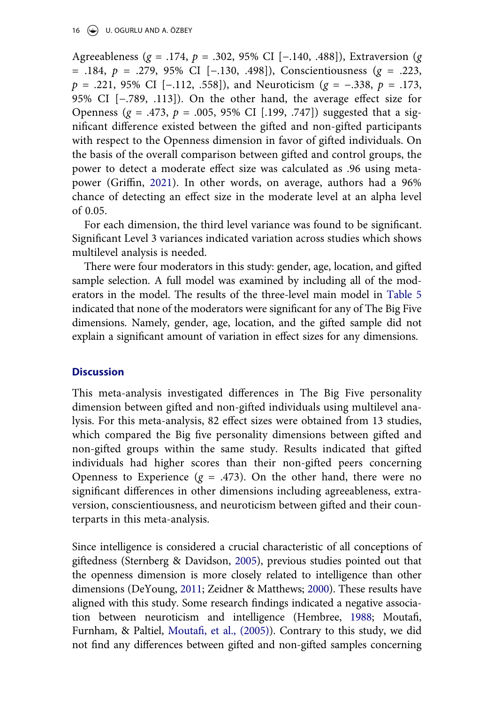Agreeableness (g = .174, p = .302, 95% CI [-.140, .488]), Extraversion (g = .184, p = .279, 95% CI [−.130, .498]), Conscientiousness (g = .223,  $p = .221, 95\%$  CI [−.112, .558]), and Neuroticism ( $g = -.338, p = .173,$ 95% CI [−.789, .113]). On the other hand, the average effect size for Openness ( $g = .473$ ,  $p = .005$ , 95% CI [.199, .747]) suggested that a significant difference existed between the gifted and non-gifted participants with respect to the Openness dimension in favor of gifted individuals. On the basis of the overall comparison between gifted and control groups, the power to detect a moderate effect size was calculated as .96 using metapower (Griffin, [2021](#page-21-10)). In other words, on average, authors had a 96% chance of detecting an effect size in the moderate level at an alpha level of 0.05.

For each dimension, the third level variance was found to be significant. Significant Level 3 variances indicated variation across studies which shows multilevel analysis is needed.

There were four moderators in this study: gender, age, location, and gifted sample selection. A full model was examined by including all of the moderators in the model. The results of the three-level main model in [Table 5](#page-18-0) indicated that none of the moderators were significant for any of The Big Five dimensions. Namely, gender, age, location, and the gifted sample did not explain a significant amount of variation in effect sizes for any dimensions.

#### **Discussion**

This meta-analysis investigated differences in The Big Five personality dimension between gifted and non-gifted individuals using multilevel analysis. For this meta-analysis, 82 effect sizes were obtained from 13 studies, which compared the Big five personality dimensions between gifted and non-gifted groups within the same study. Results indicated that gifted individuals had higher scores than their non-gifted peers concerning Openness to Experience ( $g = .473$ ). On the other hand, there were no significant differences in other dimensions including agreeableness, extraversion, conscientiousness, and neuroticism between gifted and their counterparts in this meta-analysis.

<span id="page-15-3"></span><span id="page-15-2"></span><span id="page-15-1"></span><span id="page-15-0"></span>Since intelligence is considered a crucial characteristic of all conceptions of giftedness (Sternberg & Davidson, [2005](#page-24-13)), previous studies pointed out that the openness dimension is more closely related to intelligence than other dimensions (DeYoung, [2011;](#page-20-17) Zeidner & Matthews; [2000\)](#page-24-14). These results have aligned with this study. Some research findings indicated a negative association between neuroticism and intelligence (Hembree, [1988](#page-21-16); Moutafi, Furnham, & Paltiel, [Moutafi, et al., \(2005\)\)](#page-22-16). Contrary to this study, we did not find any differences between gifted and non-gifted samples concerning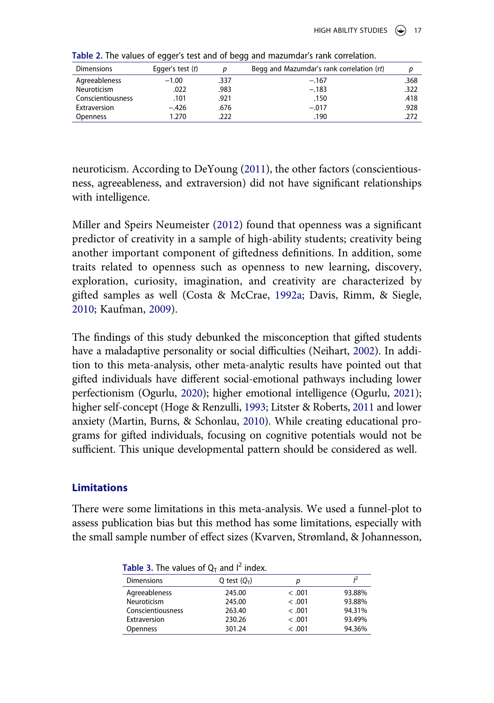| <b>Dimensions</b> | Egger's test $(t)$ |      | Begg and Mazumdar's rank correlation (rt) |      |
|-------------------|--------------------|------|-------------------------------------------|------|
| Agreeableness     | $-1.00$            | .337 | $-.167$                                   | .368 |
| Neuroticism       | .022               | .983 | $-.183$                                   | .322 |
| Conscientiousness | .101               | .921 | .150                                      | .418 |
| Extraversion      | $-.426$            | .676 | $-.017$                                   | .928 |
| <b>Openness</b>   | 1.270              | .222 | .190                                      | .272 |

<span id="page-16-0"></span>**Table 2.** The values of egger's test and of begg and mazumdar's rank correlation.

neuroticism. According to DeYoung [\(2011\)](#page-20-17), the other factors (conscientiousness, agreeableness, and extraversion) did not have significant relationships with intelligence.

<span id="page-16-7"></span>Miller and Speirs Neumeister ([2012\)](#page-22-17) found that openness was a significant predictor of creativity in a sample of high-ability students; creativity being another important component of giftedness definitions. In addition, some traits related to openness such as openness to new learning, discovery, exploration, curiosity, imagination, and creativity are characterized by gifted samples as well (Costa & McCrae, [1992a;](#page-20-3) Davis, Rimm, & Siegle, [2010](#page-20-18); Kaufman, [2009\)](#page-21-17).

<span id="page-16-8"></span><span id="page-16-4"></span><span id="page-16-3"></span><span id="page-16-2"></span>The findings of this study debunked the misconception that gifted students have a maladaptive personality or social difficulties (Neihart, [2002](#page-22-18)). In addition to this meta-analysis, other meta-analytic results have pointed out that gifted individuals have different social-emotional pathways including lower perfectionism (Ogurlu, [2020](#page-22-13)); higher emotional intelligence (Ogurlu, [2021\)](#page-22-14); higher self-concept (Hoge & Renzulli, [1993](#page-21-18); Litster & Roberts, [2011](#page-21-19) and lower anxiety (Martin, Burns, & Schonlau, [2010](#page-22-19)). While creating educational programs for gifted individuals, focusing on cognitive potentials would not be sufficient. This unique developmental pattern should be considered as well.

#### <span id="page-16-6"></span>**Limitations**

<span id="page-16-5"></span>There were some limitations in this meta-analysis. We used a funnel-plot to assess publication bias but this method has some limitations, especially with the small sample number of effect sizes (Kvarven, Strømland, & Johannesson,

| <b>Table 5.</b> The values of $Q_T$ and Findex. |                |         |        |
|-------------------------------------------------|----------------|---------|--------|
| <b>Dimensions</b>                               | Q test $(Q_T)$ |         |        |
| Agreeableness                                   | 245.00         | < .001  | 93.88% |
| Neuroticism                                     | 245.00         | < .001  | 93.88% |
| Conscientiousness                               | 263.40         | < .001  | 94.31% |
| Extraversion                                    | 230.26         | < .001  | 93.49% |
| Openness                                        | 301.24         | < 0.001 | 94.36% |
|                                                 |                |         |        |

<span id="page-16-1"></span>

|  |  |  | Table 3. The values of $Q_T$ and $I^2$ index. |  |  |  |  |
|--|--|--|-----------------------------------------------|--|--|--|--|
|--|--|--|-----------------------------------------------|--|--|--|--|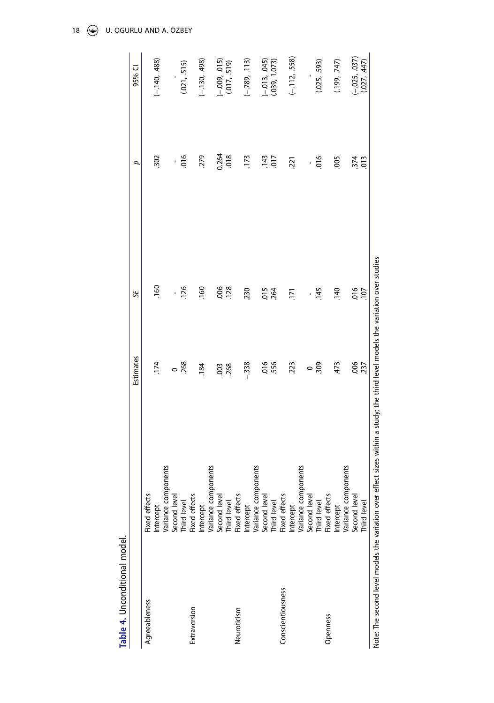<span id="page-17-0"></span>

| Table 4. Unconditional model. |                                                                                                                                 |           |                |               |                 |
|-------------------------------|---------------------------------------------------------------------------------------------------------------------------------|-----------|----------------|---------------|-----------------|
|                               |                                                                                                                                 | Estimates | Э              | σ             | 95% CI          |
| Agreeableness                 | Fixed effects                                                                                                                   |           |                |               |                 |
|                               | Intercept                                                                                                                       | .174      | .160           | 302           | $(-.140, .488)$ |
|                               | Variance components                                                                                                             |           |                |               |                 |
|                               | Second level                                                                                                                    | $\circ$   | í.             | í,            |                 |
|                               | Third level                                                                                                                     | .268      | .126           | 016           | (0.021, 515)    |
| Extraversion                  | Fixed effects                                                                                                                   |           |                |               |                 |
|                               | Intercept                                                                                                                       | .184      | .160           | 279           | $(-.130, .498)$ |
|                               | Variance components                                                                                                             |           |                |               |                 |
|                               | Second leve                                                                                                                     | .003      | 006            | 0.264         | $(-.009, .015)$ |
|                               | Third level                                                                                                                     | .268      | .128           | 018           | (017, 519)      |
| Neuroticism                   | Fixed effects                                                                                                                   |           |                |               |                 |
|                               | Intercept                                                                                                                       | $-338$    | 230            | .173          | $(-.789, .113)$ |
|                               |                                                                                                                                 |           |                |               |                 |
|                               | Variance components<br>Second level                                                                                             |           |                | .143          | $(-.013, .045)$ |
|                               | Third level                                                                                                                     | 0.56      | $015$<br>$264$ | 017           | (.039, 1.073)   |
| Conscientiousness             | Fixed effects                                                                                                                   |           |                |               |                 |
|                               | Intercept                                                                                                                       | .223      | 171            | .221          | $(-.112, .558)$ |
|                               | Variance components                                                                                                             |           |                |               |                 |
|                               | Second leve                                                                                                                     | $\circ$   | ï              | í.            |                 |
|                               | Third level                                                                                                                     | 309       | .145           | 016           | (.025, .593)    |
| Openness                      | Fixed effects                                                                                                                   |           |                |               |                 |
|                               | Intercept                                                                                                                       | 473       | .140           | .005          | (199, 747)      |
|                               | Variance components                                                                                                             |           |                |               |                 |
|                               | Second level                                                                                                                    | 006       | 016            | 374           | $(-.025, .037)$ |
|                               | Third level                                                                                                                     | .237      | .107           | $\frac{1}{2}$ | (027, 447)      |
|                               | Note: The second level models the variation over effect sizes within a study; the third level models the variation over studies |           |                |               |                 |

18  $\odot$  U. OGURLU AND A. ÖZBEY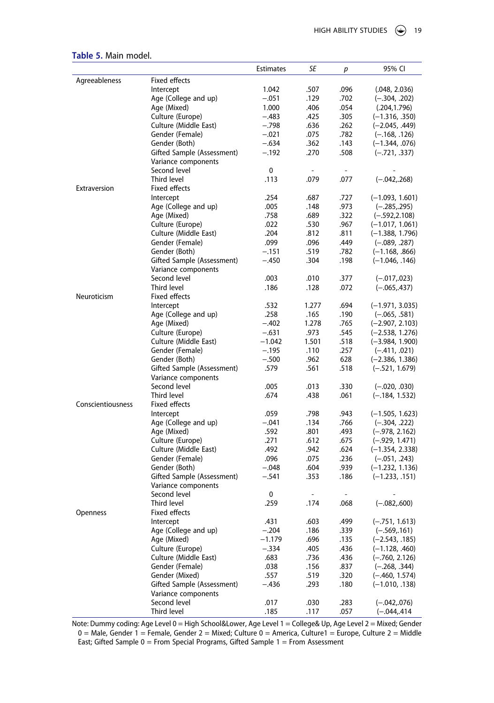|                   |                                                   | <b>Estimates</b> | SE                       | р              | 95% CI                                |
|-------------------|---------------------------------------------------|------------------|--------------------------|----------------|---------------------------------------|
| Agreeableness     | Fixed effects                                     |                  |                          |                |                                       |
|                   | Intercept                                         | 1.042            | .507                     | .096           | (.048, 2.036)                         |
|                   | Age (College and up)                              | $-.051$          | .129                     | .702           | $(-.304, .202)$                       |
|                   | Age (Mixed)                                       | 1.000            | .406                     | .054           | (.204, 1.796)                         |
|                   | Culture (Europe)                                  | $-.483$          | .425                     | .305           | $(-1.316, .350)$                      |
|                   | Culture (Middle East)                             | $-.798$          | .636                     | .262           | $(-2.045, .449)$                      |
|                   | Gender (Female)                                   | $-.021$          | .075                     | .782           | $(-.168, .126)$                       |
|                   | Gender (Both)                                     | $-.634$          | .362                     | .143           | $(-1.344, .076)$                      |
|                   | Gifted Sample (Assessment)                        | $-.192$          | .270                     | .508           | $(-.721, .337)$                       |
|                   | Variance components                               |                  |                          |                |                                       |
|                   | Second level                                      | 0                | $\overline{\phantom{a}}$ | $\overline{a}$ |                                       |
|                   | Third level                                       | .113             | .079                     | .077           | $(-.042, .268)$                       |
| Extraversion      | Fixed effects                                     |                  |                          |                |                                       |
|                   | Intercept                                         | .254             | .687                     | .727           | $(-1.093, 1.601)$                     |
|                   | Age (College and up)                              | .005             | .148                     | .973           | $(-.285, .295)$                       |
|                   | Age (Mixed)                                       | .758             | .689                     | .322           | $(-.592, 2.108)$                      |
|                   | Culture (Europe)                                  | .022             | .530                     | .967           | $(-1.017, 1.061)$                     |
|                   | Culture (Middle East)                             | .204             | .812                     | .811           | (-1.388, 1.796)                       |
|                   | Gender (Female)                                   | .099             | .096                     | .449           | $(-.089, .287)$                       |
|                   | Gender (Both)                                     | $-.151$          | .519                     | .782           | $(-1.168, .866)$                      |
|                   | Gifted Sample (Assessment)<br>Variance components | $-.450$          | .304                     | .198           | $(-1.046, .146)$                      |
|                   | Second level                                      | .003             | .010                     | .377           | $(-.017, .023)$                       |
|                   | Third level                                       | .186             | .128                     | .072           | $(-.065,.437)$                        |
| Neuroticism       | Fixed effects                                     |                  |                          |                |                                       |
|                   | Intercept                                         | .532             | 1.277                    | .694           | $(-1.971, 3.035)$                     |
|                   | Age (College and up)                              | .258             | .165                     | .190           | $(-.065, .581)$                       |
|                   | Age (Mixed)                                       | $-.402$          | 1.278                    | .765           | $(-2.907, 2.103)$                     |
|                   | Culture (Europe)                                  | $-.631$          | .973                     | .545           | $(-2.538, 1.276)$                     |
|                   | Culture (Middle East)                             | $-1.042$         | 1.501                    | .518           | $(-3.984, 1.900)$                     |
|                   | Gender (Female)                                   | $-.195$          | .110                     | .257           | $(-.411, .021)$                       |
|                   | Gender (Both)                                     | $-.500$          | .962                     | 628            | $(-2.386, 1.386)$                     |
|                   | Gifted Sample (Assessment)                        | .579             | .561                     | .518           | $(-.521, 1.679)$                      |
|                   | Variance components                               |                  |                          |                |                                       |
|                   | Second level                                      | .005             | .013                     | .330           | $(-.020, .030)$                       |
|                   | Third level                                       | .674             | .438                     | .061           | $(-.184, 1.532)$                      |
| Conscientiousness | Fixed effects                                     |                  |                          |                |                                       |
|                   | Intercept                                         | .059             | .798                     | .943           | $(-1.505, 1.623)$                     |
|                   | Age (College and up)                              | $-.041$          | .134                     | .766           | $(-.304, .222)$                       |
|                   | Age (Mixed)                                       | .592             | .801                     | .493           | $(-.978, 2.162)$                      |
|                   | Culture (Europe)                                  | .271             | .612                     | .675           | $(-.929, 1.471)$                      |
|                   | Culture (Middle East)                             | .492<br>.096     | .942                     | .624<br>.236   | $(-1.354, 2.338)$                     |
|                   | Gender (Female)<br>Gender (Both)                  | $-.048$          | .075                     | .939           | $(-.051, .243)$                       |
|                   | Gifted Sample (Assessment)                        | $-.541$          | .604<br>.353             | .186           | $(-1.232, 1.136)$<br>$(-1.233, .151)$ |
|                   | Variance components                               |                  |                          |                |                                       |
|                   | Second level                                      | 0                | $\overline{a}$           | $\overline{a}$ |                                       |
|                   | Third level                                       | .259             | .174                     | .068           | $(-.082, .600)$                       |
| Openness          | Fixed effects                                     |                  |                          |                |                                       |
|                   | Intercept                                         | .431             | .603                     | .499           | $(-.751, 1.613)$                      |
|                   | Age (College and up)                              | $-.204$          | .186                     | .339           | $(-.569, 161)$                        |
|                   | Age (Mixed)                                       | –1.179           | .696                     | .135           | $(-2.543, .185)$                      |
|                   | Culture (Europe)                                  | $-.334$          | .405                     | .436           | $(-1.128, .460)$                      |
|                   | Culture (Middle East)                             | .683             | .736                     | .436           | $(-.760, 2.126)$                      |
|                   | Gender (Female)                                   | .038             | .156                     | .837           | $(-.268, .344)$                       |
|                   | Gender (Mixed)                                    | .557             | .519                     | .320           | $(-.460, 1.574)$                      |
|                   | Gifted Sample (Assessment)                        | $-.436$          | .293                     | .180           | $(-1.010, .138)$                      |
|                   | Variance components                               |                  |                          |                |                                       |
|                   | Second level                                      | .017             | .030                     | .283           | $(-.042, .076)$                       |
|                   | Third level                                       | .185             | .117                     | .057           | $(-.044, .414)$                       |

<span id="page-18-0"></span>**Table 5.** Main model.

Note: Dummy coding: Age Level 0 = High School&Lower, Age Level 1 = College& Up, Age Level 2 = Mixed; Gender 0 = Male, Gender 1 = Female, Gender 2 = Mixed; Culture 0 = America, Culture1 = Europe, Culture 2 = Middle East; Gifted Sample  $0 =$  From Special Programs, Gifted Sample  $1 =$  From Assessment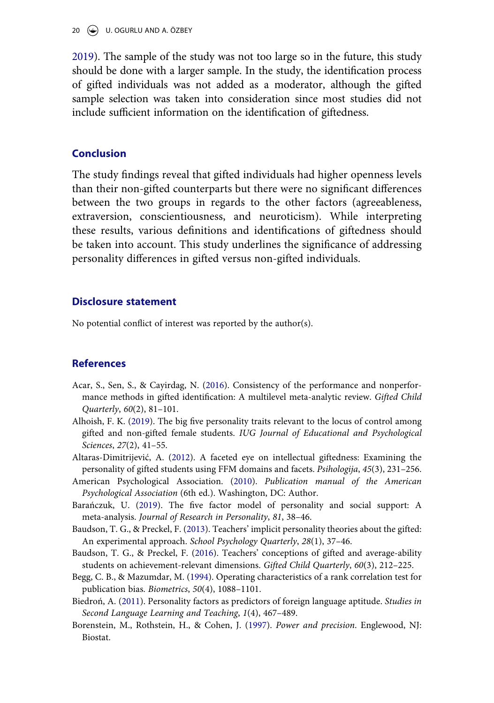#### 20 U. OGURLU AND A. ÖZBEY

[2019\)](#page-21-20). The sample of the study was not too large so in the future, this study should be done with a larger sample. In the study, the identification process of gifted individuals was not added as a moderator, although the gifted sample selection was taken into consideration since most studies did not include sufficient information on the identification of giftedness.

#### **Conclusion**

The study findings reveal that gifted individuals had higher openness levels than their non-gifted counterparts but there were no significant differences between the two groups in regards to the other factors (agreeableness, extraversion, conscientiousness, and neuroticism). While interpreting these results, various definitions and identifications of giftedness should be taken into account. This study underlines the significance of addressing personality differences in gifted versus non-gifted individuals.

#### **Disclosure statement**

No potential conflict of interest was reported by the author(s).

#### **References**

- <span id="page-19-6"></span>Acar, S., Sen, S., & Cayirdag, N. ([2016\)](#page-11-0). Consistency of the performance and nonperformance methods in gifted identification: A multilevel meta-analytic review. Gifted Child Quarterly, 60(2), 81–101.
- <span id="page-19-7"></span>Alhoish, F. K. [\(2019](#page-13-1)). The big five personality traits relevant to the locus of control among gifted and non-gifted female students. IUG Journal of Educational and Psychological Sciences, 27(2), 41–55.
- <span id="page-19-8"></span>Altaras-Dimitrijević, A. ([2012\)](#page-13-2). A faceted eye on intellectual giftedness: Examining the personality of gifted students using FFM domains and facets. Psihologija, 45(3), 231–256.
- <span id="page-19-3"></span>American Psychological Association. [\(2010\)](#page-8-0). Publication manual of the American Psychological Association (6th ed.). Washington, DC: Author.
- <span id="page-19-0"></span>Barańczuk, U. ([2019](#page-1-0)). The five factor model of personality and social support: A meta-analysis. Journal of Research in Personality, 81, 38–46.
- <span id="page-19-1"></span>Baudson, T. G., & Preckel, F. [\(2013\)](#page-2-0). Teachers' implicit personality theories about the gifted: An experimental approach. School Psychology Quarterly, 28(1), 37–46.
- <span id="page-19-2"></span>Baudson, T. G., & Preckel, F. ([2016](#page-2-1)). Teachers' conceptions of gifted and average-ability students on achievement-relevant dimensions. Gifted Child Quarterly, 60(3), 212–225.
- <span id="page-19-4"></span>Begg, C. B., & Mazumdar, M. ([1994](#page-10-0)). Operating characteristics of a rank correlation test for publication bias. Biometrics, 50(4), 1088–1101.
- <span id="page-19-9"></span>Biedroń, A. ([2011\)](#page-13-3). Personality factors as predictors of foreign language aptitude. Studies in Second Language Learning and Teaching, 1(4), 467–489.
- <span id="page-19-5"></span>Borenstein, M., Rothstein, H., & Cohen, J. [\(1997](#page-11-1)). Power and precision. Englewood, NJ: Biostat.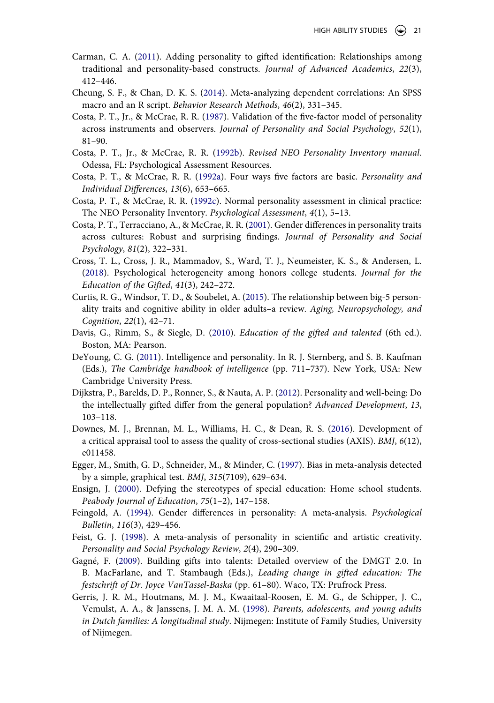- <span id="page-20-1"></span>Carman, C. A. ([2011](#page-1-1)). Adding personality to gifted identification: Relationships among traditional and personality-based constructs. Journal of Advanced Academics, 22(3), 412–446.
- <span id="page-20-12"></span>Cheung, S. F., & Chan, D. K. S. [\(2014\)](#page-12-0). Meta-analyzing dependent correlations: An SPSS macro and an R script. Behavior Research Methods, 46(2), 331–345.
- <span id="page-20-2"></span>Costa, P. T., Jr., & McCrae, R. R. [\(1987](#page-1-2)). Validation of the five-factor model of personality across instruments and observers. Journal of Personality and Social Psychology, 52(1), 81–90.
- <span id="page-20-14"></span>Costa, P. T., Jr., & McCrae, R. R. ([1992b\)](#page-13-4). Revised NEO Personality Inventory manual. Odessa, FL: Psychological Assessment Resources.
- <span id="page-20-3"></span>Costa, P. T., & McCrae, R. R. [\(1992a\)](#page-1-3). Four ways five factors are basic. Personality and Individual Differences, 13(6), 653–665.
- <span id="page-20-13"></span>Costa, P. T., & McCrae, R. R. ([1992c\)](#page-13-5). Normal personality assessment in clinical practice: The NEO Personality Inventory. Psychological Assessment, 4(1), 5–13.
- <span id="page-20-7"></span>Costa, P. T., Terracciano, A., & McCrae, R. R. [\(2001\)](#page-3-0). Gender differences in personality traits across cultures: Robust and surprising findings. Journal of Personality and Social Psychology, 81(2), 322–331.
- <span id="page-20-9"></span>Cross, T. L., Cross, J. R., Mammadov, S., Ward, T. J., Neumeister, K. S., & Andersen, L. [\(2018\)](#page-7-1). Psychological heterogeneity among honors college students. Journal for the Education of the Gifted, 41(3), 242–272.
- <span id="page-20-5"></span>Curtis, R. G., Windsor, T. D., & Soubelet, A. [\(2015\)](#page-1-4). The relationship between big-5 personality traits and cognitive ability in older adults–a review. Aging, Neuropsychology, and Cognition, 22(1), 42–71.
- <span id="page-20-18"></span>Davis, G., Rimm, S., & Siegle, D. ([2010](#page-16-2)). Education of the gifted and talented (6th ed.). Boston, MA: Pearson.
- <span id="page-20-17"></span>DeYoung, C. G. [\(2011\)](#page-15-0). Intelligence and personality. In R. J. Sternberg, and S. B. Kaufman (Eds.), The Cambridge handbook of intelligence (pp. 711–737). New York, USA: New Cambridge University Press.
- <span id="page-20-15"></span>Dijkstra, P., Barelds, D. P., Ronner, S., & Nauta, A. P. [\(2012](#page-13-6)). Personality and well-being: Do the intellectually gifted differ from the general population? Advanced Development, 13, 103–118.
- <span id="page-20-10"></span>Downes, M. J., Brennan, M. L., Williams, H. C., & Dean, R. S. ([2016](#page-8-1)). Development of a critical appraisal tool to assess the quality of cross-sectional studies (AXIS).  $BMJ$ ,  $6(12)$ , e011458.
- <span id="page-20-11"></span>Egger, M., Smith, G. D., Schneider, M., & Minder, C. [\(1997\)](#page-10-1). Bias in meta-analysis detected by a simple, graphical test. BMJ, 315(7109), 629–634.
- <span id="page-20-6"></span>Ensign, J. ([2000\)](#page-2-1). Defying the stereotypes of special education: Home school students. Peabody Journal of Education, 75(1–2), 147–158.
- <span id="page-20-8"></span>Feingold, A. ([1994\)](#page-4-0). Gender differences in personality: A meta-analysis. Psychological Bulletin, 116(3), 429–456.
- <span id="page-20-4"></span>Feist, G. J. ([1998\)](#page-1-5). A meta-analysis of personality in scientific and artistic creativity. Personality and Social Psychology Review, 2(4), 290–309.
- <span id="page-20-0"></span>Gagné, F. ([2009\)](#page-1-6). Building gifts into talents: Detailed overview of the DMGT 2.0. In B. MacFarlane, and T. Stambaugh (Eds.), Leading change in gifted education: The festschrift of Dr. Joyce VanTassel-Baska (pp. 61–80). Waco, TX: Prufrock Press.
- <span id="page-20-16"></span>Gerris, J. R. M., Houtmans, M. J. M., Kwaaitaal-Roosen, E. M. G., de Schipper, J. C., Vemulst, A. A., & Janssens, J. M. A. M. ([1998](#page-14-0)). Parents, adolescents, and young adults in Dutch families: A longitudinal study. Nijmegen: Institute of Family Studies, University of Nijmegen.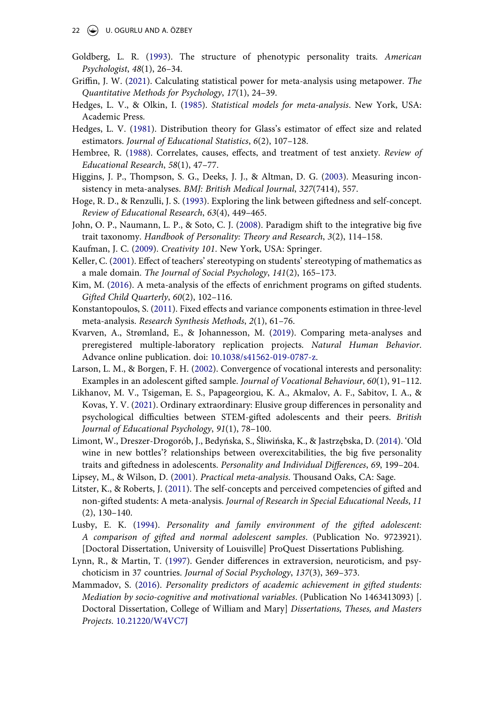- <span id="page-21-0"></span>Goldberg, L. R. ([1993](#page-1-7)). The structure of phenotypic personality traits. American Psychologist, 48(1), 26–34.
- <span id="page-21-10"></span>Griffin, J. W. [\(2021\)](#page-11-2). Calculating statistical power for meta-analysis using metapower. The Quantitative Methods for Psychology, 17(1), 24–39.
- <span id="page-21-9"></span>Hedges, L. V., & Olkin, I. ([1985\)](#page-10-2). Statistical models for meta-analysis. New York, USA: Academic Press.
- <span id="page-21-6"></span>Hedges, L. V. ([1981](#page-9-0)). Distribution theory for Glass's estimator of effect size and related estimators. Journal of Educational Statistics, 6(2), 107–128.
- <span id="page-21-16"></span>Hembree, R. ([1988](#page-15-1)). Correlates, causes, effects, and treatment of test anxiety. Review of Educational Research, 58(1), 47–77.
- <span id="page-21-8"></span>Higgins, J. P., Thompson, S. G., Deeks, J. J., & Altman, D. G. [\(2003\)](#page-10-3). Measuring inconsistency in meta-analyses. BMJ: British Medical Journal, 327(7414), 557.
- <span id="page-21-18"></span>Hoge, R. D., & Renzulli, J. S. [\(1993\)](#page-16-3). Exploring the link between giftedness and self-concept. Review of Educational Research, 63(4), 449–465.
- <span id="page-21-13"></span>John, O. P., Naumann, L. P., & Soto, C. J. [\(2008](#page-13-7)). Paradigm shift to the integrative big five trait taxonomy. Handbook of Personality: Theory and Research, 3(2), 114–158.
- <span id="page-21-17"></span>Kaufman, J. C. ([2009\)](#page-16-4). Creativity 101. New York, USA: Springer.
- <span id="page-21-2"></span>Keller, C. ([2001\)](#page-2-2). Effect of teachers' stereotyping on students' stereotyping of mathematics as a male domain. The Journal of Social Psychology, 141(2), 165–173.
- <span id="page-21-4"></span>Kim, M. [\(2016\)](#page-4-1). A meta-analysis of the effects of enrichment programs on gifted students. Gifted Child Quarterly, 60(2), 102–116.
- <span id="page-21-11"></span>Konstantopoulos, S. ([2011](#page-11-3)). Fixed effects and variance components estimation in three-level meta-analysis. Research Synthesis Methods, 2(1), 61–76.
- <span id="page-21-20"></span>Kvarven, A., Strømland, E., & Johannesson, M. [\(2019\)](#page-16-5). Comparing meta-analyses and preregistered multiple-laboratory replication projects. Natural Human Behavior. Advance online publication. doi: [10.1038/s41562-019-0787-z](https://doi.org/10.1038/s41562-019-0787-z).
- <span id="page-21-5"></span>Larson, L. M., & Borgen, F. H. [\(2002\)](#page-7-1). Convergence of vocational interests and personality: Examples in an adolescent gifted sample. Journal of Vocational Behaviour, 60(1), 91-112.
- <span id="page-21-12"></span>Likhanov, M. V., Tsigeman, E. S., Papageorgiou, K. A., Akmalov, A. F., Sabitov, I. A., & Kovas, Y. V. [\(2021\)](#page-13-8). Ordinary extraordinary: Elusive group differences in personality and psychological difficulties between STEM-gifted adolescents and their peers. British Journal of Educational Psychology, 91(1), 78–100.
- <span id="page-21-14"></span>Limont, W., Dreszer-Drogorób, J., Bedyńska, S., Śliwińska, K., & Jastrzębska, D. ([2014](#page-13-9)). 'Old wine in new bottles'? relationships between overexcitabilities, the big five personality traits and giftedness in adolescents. Personality and Individual Differences, 69, 199–204.
- <span id="page-21-7"></span>Lipsey, M., & Wilson, D. ([2001](#page-9-1)). Practical meta-analysis. Thousand Oaks, CA: Sage.
- <span id="page-21-19"></span>Litster, K., & Roberts, J. ([2011](#page-16-3)). The self-concepts and perceived competencies of gifted and non-gifted students: A meta-analysis. Journal of Research in Special Educational Needs, 11 (2), 130–140.
- <span id="page-21-15"></span>Lusby, E. K. [\(1994](#page-13-10)). Personality and family environment of the gifted adolescent: A comparison of gifted and normal adolescent samples. (Publication No. 9723921). [Doctoral Dissertation, University of Louisville] ProQuest Dissertations Publishing.
- <span id="page-21-3"></span>Lynn, R., & Martin, T. [\(1997](#page-3-0)). Gender differences in extraversion, neuroticism, and psychoticism in 37 countries. Journal of Social Psychology, 137(3), 369–373.
- <span id="page-21-1"></span>Mammadov, S. [\(2016](#page-2-3)). Personality predictors of academic achievement in gifted students: Mediation by socio-cognitive and motivational variables. (Publication No 1463413093) [. Doctoral Dissertation, College of William and Mary] Dissertations, Theses, and Masters Projects. [10.21220/W4VC7J](https://doi.org/10.21220/W4VC7J)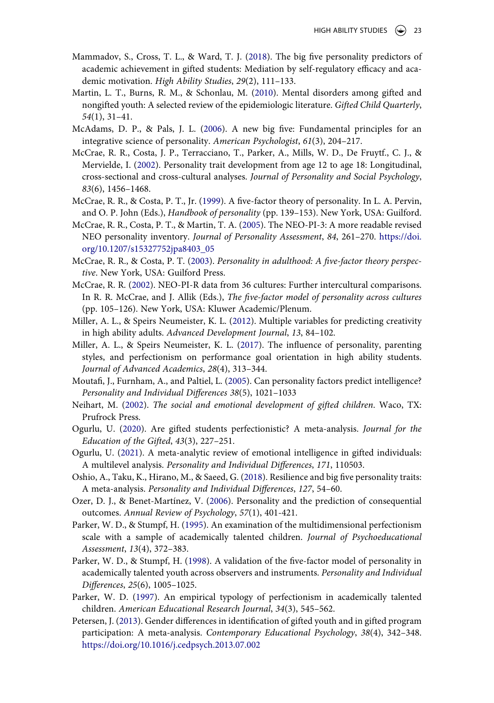- <span id="page-22-8"></span>Mammadov, S., Cross, T. L., & Ward, T. J. [\(2018\)](#page-7-2). The big five personality predictors of academic achievement in gifted students: Mediation by self-regulatory efficacy and academic motivation. High Ability Studies, 29(2), 111–133.
- <span id="page-22-19"></span>Martin, L. T., Burns, R. M., & Schonlau, M. [\(2010\)](#page-16-6). Mental disorders among gifted and nongifted youth: A selected review of the epidemiologic literature. Gifted Child Quarterly, 54(1), 31–41.
- <span id="page-22-3"></span>McAdams, D. P., & Pals, J. L. [\(2006\)](#page-1-8). A new big five: Fundamental principles for an integrative science of personality. American Psychologist, 61(3), 204–217.
- <span id="page-22-6"></span>McCrae, R. R., Costa, J. P., Terracciano, T., Parker, A., Mills, W. D., De Fruytf., C. J., & Mervielde, I. ([2002](#page-2-4)). Personality trait development from age 12 to age 18: Longitudinal, cross-sectional and cross-cultural analyses. Journal of Personality and Social Psychology, 83(6), 1456–1468.
- <span id="page-22-2"></span>McCrae, R. R., & Costa, P. T., Jr. [\(1999](#page-1-2)). A five-factor theory of personality. In L. A. Pervin, and O. P. John (Eds.), *Handbook of personality* (pp. 139–153). New York, USA: Guilford.
- <span id="page-22-15"></span>McCrae, R. R., Costa, P. T., & Martin, T. A. ([2005](#page-14-1)). The NEO-PI-3: A more readable revised NEO personality inventory. Journal of Personality Assessment, 84, 261–270. [https://doi.](https://doi.org/10.1207/s15327752jpa8403_05) [org/10.1207/s15327752jpa8403\\_05](https://doi.org/10.1207/s15327752jpa8403_05)
- <span id="page-22-0"></span>McCrae, R. R., & Costa, P. T. ([2003\)](#page-0-1). Personality in adulthood: A five-factor theory perspective. New York, USA: Guilford Press.
- <span id="page-22-7"></span>McCrae, R. R. ([2002\)](#page-4-2). NEO-PI-R data from 36 cultures: Further intercultural comparisons. In R. R. McCrae, and J. Allik (Eds.), The five-factor model of personality across cultures (pp. 105–126). New York, USA: Kluwer Academic/Plenum.
- <span id="page-22-17"></span>Miller, A. L., & Speirs Neumeister, K. L. [\(2012\)](#page-16-7). Multiple variables for predicting creativity in high ability adults. Advanced Development Journal, 13, 84–102.
- <span id="page-22-9"></span>Miller, A. L., & Speirs Neumeister, K. L. [\(2017](#page-7-3)). The influence of personality, parenting styles, and perfectionism on performance goal orientation in high ability students. Journal of Advanced Academics, 28(4), 313–344.
- <span id="page-22-16"></span>Moutafi, J., Furnham, A., and Paltiel, L. ([2005](#page-15-2)). Can personality factors predict intelligence? Personality and Individual Differences 38(5), 1021–1033
- <span id="page-22-18"></span>Neihart, M. [\(2002](#page-16-8)). The social and emotional development of gifted children. Waco, TX: Prufrock Press.
- <span id="page-22-13"></span>Ogurlu, U. ([2020\)](#page-11-0). Are gifted students perfectionistic? A meta-analysis. Journal for the Education of the Gifted, 43(3), 227–251.
- <span id="page-22-14"></span>Ogurlu, U. ([2021\)](#page-11-0). A meta-analytic review of emotional intelligence in gifted individuals: A multilevel analysis. Personality and Individual Differences, 171, 110503.
- <span id="page-22-4"></span>Oshio, A., Taku, K., Hirano, M., & Saeed, G. ([2018](#page-2-5)). Resilience and big five personality traits: A meta-analysis. Personality and Individual Differences, 127, 54–60.
- <span id="page-22-1"></span>Ozer, D. J., & Benet-Martínez, V. [\(2006\)](#page-0-2). Personality and the prediction of consequential outcomes. Annual Review of Psychology, 57(1), 401-421.
- <span id="page-22-11"></span>Parker, W. D., & Stumpf, H. ([1995](#page-7-3)). An examination of the multidimensional perfectionism scale with a sample of academically talented children. Journal of Psychoeducational Assessment, 13(4), 372–383.
- <span id="page-22-5"></span>Parker, W. D., & Stumpf, H. ([1998](#page-2-3)). A validation of the five-factor model of personality in academically talented youth across observers and instruments. Personality and Individual Differences, 25(6), 1005–1025.
- <span id="page-22-10"></span>Parker, W. D. ([1997\)](#page-7-3). An empirical typology of perfectionism in academically talented children. American Educational Research Journal, 34(3), 545–562.
- <span id="page-22-12"></span>Petersen, J. [\(2013](#page-9-2)). Gender differences in identification of gifted youth and in gifted program participation: A meta-analysis. Contemporary Educational Psychology, 38(4), 342–348. <https://doi.org/10.1016/j.cedpsych.2013.07.002>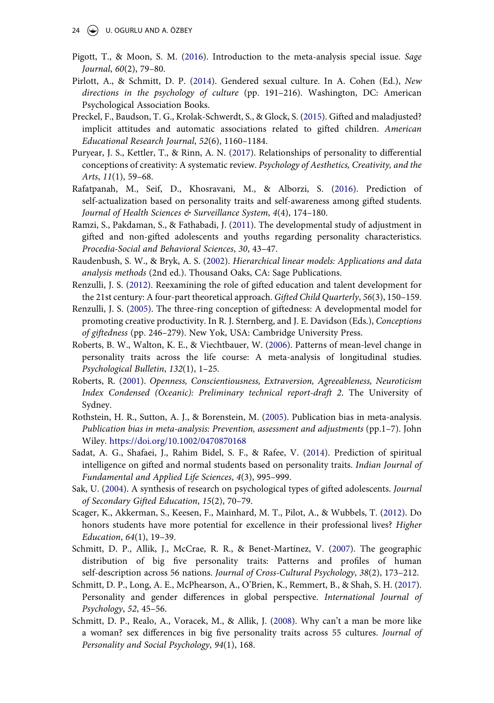- <span id="page-23-11"></span>Pigott, T., & Moon, S. M. ([2016\)](#page-5-0). Introduction to the meta-analysis special issue. Sage Journal, 60(2), 79–80.
- <span id="page-23-8"></span>Pirlott, A., & Schmitt, D. P. [\(2014](#page-4-3)). Gendered sexual culture. In A. Cohen (Ed.), New directions in the psychology of culture (pp. 191–216). Washington, DC: American Psychological Association Books.
- <span id="page-23-5"></span>Preckel, F., Baudson, T. G., Krolak-Schwerdt, S., & Glock, S. [\(2015](#page-2-6)). Gifted and maladjusted? implicit attitudes and automatic associations related to gifted children. American Educational Research Journal, 52(6), 1160–1184.
- <span id="page-23-2"></span>Puryear, J. S., Kettler, T., & Rinn, A. N. ([2017](#page-1-9)). Relationships of personality to differential conceptions of creativity: A systematic review. Psychology of Aesthetics, Creativity, and the Arts, 11(1), 59–68.
- <span id="page-23-12"></span>Rafatpanah, M., Seif, D., Khosravani, M., & Alborzi, S. [\(2016\)](#page-7-4). Prediction of self-actualization based on personality traits and self-awareness among gifted students. Journal of Health Sciences & Surveillance System, 4(4), 174–180.
- <span id="page-23-15"></span>Ramzi, S., Pakdaman, S., & Fathabadi, J. [\(2011](#page-13-11)). The developmental study of adjustment in gifted and non-gifted adolescents and youths regarding personality characteristics. Procedia-Social and Behavioral Sciences, 30, 43–47.
- <span id="page-23-14"></span>Raudenbush, S. W., & Bryk, A. S. [\(2002](#page-11-3)). Hierarchical linear models: Applications and data analysis methods (2nd ed.). Thousand Oaks, CA: Sage Publications.
- <span id="page-23-1"></span>Renzulli, J. S. [\(2012](#page-0-3)). Reexamining the role of gifted education and talent development for the 21st century: A four-part theoretical approach. Gifted Child Quarterly, 56(3), 150–159.
- <span id="page-23-0"></span>Renzulli, J. S. ([2005\)](#page-0-4). The three-ring conception of giftedness: A developmental model for promoting creative productivity. In R. J. Sternberg, and J. E. Davidson (Eds.), Conceptions of giftedness (pp. 246–279). New Yok, USA: Cambridge University Press.
- <span id="page-23-6"></span>Roberts, B. W., Walton, K. E., & Viechtbauer, W. [\(2006\)](#page-3-1). Patterns of mean-level change in personality traits across the life course: A meta-analysis of longitudinal studies. Psychological Bulletin, 132(1), 1–25.
- <span id="page-23-17"></span>Roberts, R. [\(2001](#page-14-2)). Openness, Conscientiousness, Extraversion, Agreeableness, Neuroticism Index Condensed (Oceanic): Preliminary technical report-draft 2. The University of Sydney.
- <span id="page-23-13"></span>Rothstein, H. R., Sutton, A. J., & Borenstein, M. ([2005](#page-10-4)). Publication bias in meta-analysis. Publication bias in meta-analysis: Prevention, assessment and adjustments (pp.1–7). John Wiley. <https://doi.org/10.1002/0470870168>
- <span id="page-23-16"></span>Sadat, A. G., Shafaei, J., Rahim Bidel, S. F., & Rafee, V. [\(2014](#page-14-3)). Prediction of spiritual intelligence on gifted and normal students based on personality traits. Indian Journal of Fundamental and Applied Life Sciences, 4(3), 995–999.
- <span id="page-23-3"></span>Sak, U. ([2004](#page-2-7)). A synthesis of research on psychological types of gifted adolescents. Journal of Secondary Gifted Education, 15(2), 70–79.
- <span id="page-23-4"></span>Scager, K., Akkerman, S., Keesen, F., Mainhard, M. T., Pilot, A., & Wubbels, T. [\(2012](#page-2-4)). Do honors students have more potential for excellence in their professional lives? Higher Education, 64(1), 19–39.
- <span id="page-23-10"></span>Schmitt, D. P., Allik, J., McCrae, R. R., & Benet-Martínez, V. ([2007\)](#page-4-4). The geographic distribution of big five personality traits: Patterns and profiles of human self-description across 56 nations. Journal of Cross-Cultural Psychology, 38(2), 173–212.
- <span id="page-23-9"></span>Schmitt, D. P., Long, A. E., McPhearson, A., O'Brien, K., Remmert, B., & Shah, S. H. ([2017\)](#page-4-3). Personality and gender differences in global perspective. International Journal of Psychology, 52, 45–56.
- <span id="page-23-7"></span>Schmitt, D. P., Realo, A., Voracek, M., & Allik, J. [\(2008\)](#page-4-5). Why can't a man be more like a woman? sex differences in big five personality traits across 55 cultures. Journal of Personality and Social Psychology, 94(1), 168.